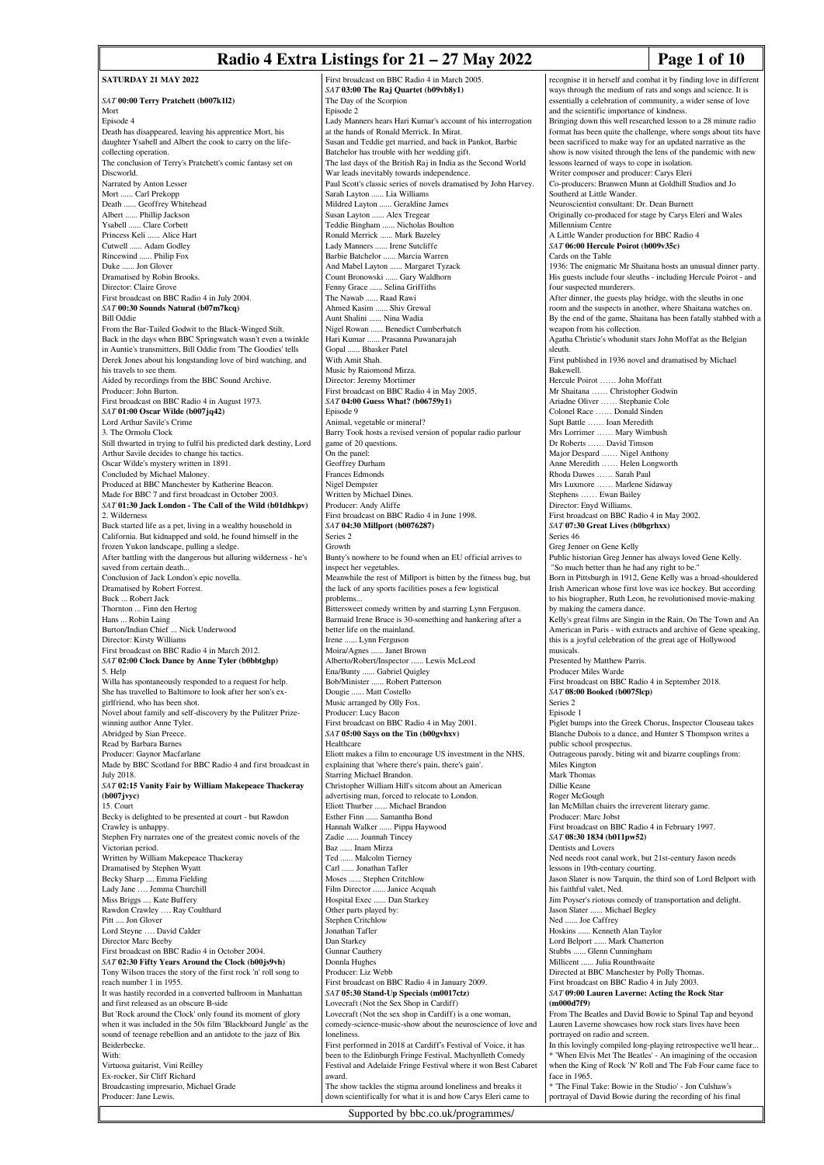### **Radio 4 Extra Listings for 21 – 27 May 2022** Page 1 of 10

recognise it in herself and combat it by finding love in different ways through the medium of rats and songs and science. It is

**SATURDAY 21 MAY 2022** *SAT* **00:00 Terry Pratchett (b007k1l2)** Mort Episode 4 Death has disappeared, leaving his apprentice Mort, his daughter Ysabell and Albert the cook to carry on the lifecollecting operation. The conclusion of Terry's Pratchett's comic fantasy set on Discworld. Narrated by Anton Lesser Mort ...... Carl Prekopp Death ...... Geoffrey Whitehead Albert ...... Phillip Jackson .. Clare Corbett Princess Keli ...... Alice Hart Cutwell ...... Adam Godley Rincewind ...... Philip Fox Duke ...... Jon Glover Dramatised by Robin Brooks. Director: Claire Grove First broadcast on BBC Radio 4 in July 2004. *SAT* **00:30 Sounds Natural (b07m7kcq)** Bill Oddie From the Bar-Tailed Godwit to the Black-Winged Stilt. Back in the days when BBC Springwatch wasn't even a twinkle in Auntie's transmitters, Bill Oddie from 'The Goodies' tells Derek Jones about his longstanding love of bird watching, and his travels to see them. Aided by recordings from the BBC Sound Archive. Producer: John Burto First broadcast on BBC Radio 4 in August 1973. *SAT* **01:00 Oscar Wilde (b007jq42)** Lord Arthur Savile's Crime 3. The Ormolu Clock Still thwarted in trying to fulfil his predicted dark destiny, Lord Arthur Savile decides to change his tactics. Oscar Wilde's mystery written in 1891. Concluded by Michael Maloney. Produced at BBC Manchester by Katherine Beacon. Made for BBC 7 and first broadcast in October 2003. *SAT* **01:30 Jack London - The Call of the Wild (b01dhkpv)** 2. Wilderness Buck started life as a pet, living in a wealthy household in California. But kidnapped and sold, he found himself in the frozen Yukon landscape, pulling a sledge. After battling with the dangerous but alluring wilderness - he's saved from certain death... Conclusion of Jack London's epic novella. Dramatised by Robert Forrest. Buck ... Robert Jack Thornton ... Finn den Hertog Hans ... Robin Laing Burton/Indian Chief ... Nick Underwood Director: Kirsty Williams First broadcast on BBC Radio 4 in March 2012. *SAT* **02:00 Clock Dance by Anne Tyler (b0bbtghp)** 5. Help Willa has spontaneously responded to a request for help. She has travelled to Baltimore to look after her son's exgirlfriend, who has been shot. Novel about family and self-discovery by the Pulitzer Prizewinning author Anne Tyler. Abridged by Sian Preece. Read by Barbara Barnes Producer: Gaynor Macfarlane Made by BBC Scotland for BBC Radio 4 and first broadcast in July 2018. *SAT* **02:15 Vanity Fair by William Makepeace Thackeray (b007jvyc)**  $15$ . Court Becky is delighted to be presented at court - but Rawdon Crawley is unhappy. Stephen Fry narrates one of the greatest comic novels of the Victorian period. Written by William Makepeace Thackeray Dramatised by Stephen Wyatt Becky Sharp .... Emma Fielding Lady Jane .... Jemma Churchill Miss Briggs .... Kate Buffery Rawdon Crawley .... Ray Coulthard Pitt .... Jon Glover Lord Steyne …. David Calder Director Marc Beeby First broadcast on BBC Radio 4 in October 2004. *SAT* **02:30 Fifty Years Around the Clock (b00js9vh)** Tony Wilson traces the story of the first rock 'n' roll song to reach number 1 in 1955. It was hastily recorded in a converted ballroom in Manhattan and first released as an obscure B-side But 'Rock around the Clock' only found its moment of glory when it was included in the 50s film 'Blackboard Jungle' as the sound of teenage rebellion and an antidote to the jazz of Bix Beiderbecke. With: Virtuosa guitarist, Vini Reilley Ex-rocker, Sir Cliff Richard Broadcasting impresario, Michael Grade Producer: Jane Lewis.

First broadcast on BBC Radio 4 in March 2005. *SAT* **03:00 The Raj Quartet (b09vb8y1)** The Day of the Scorpion Episode 2 Lady Manners hears Hari Kumar's account of his interrogation at the hands of Ronald Merrick. In Mirat. Susan and Teddie get married, and back in Pankot, Barbie Batchelor has trouble with her wedding gift. The last days of the British Raj in India as the Second World War leads inevitably towards independence. Paul Scott's classic series of novels dramatised by John Harvey. Sarah Layton ...... Lia Williams Mildred Layton ...... Geraldine James Susan Layton ...... Alex Tregear Teddie Bingham ...... Nicholas Boulton Ronald Merrick ...... Mark Bazeley Lady Manners ...... Irene Sutcliffe Barbie Batchelor ...... Marcia Warren And Mabel Layton ...... Margaret Tyzack Count Bronowski ...... Gary Waldhorn Fenny Grace ...... Selina Griffiths The Nawab ...... Raad Rawi Ahmed Kasim ...... Shiv Grewal Aunt Shalini ...... Nina Wadia Nigel Rowan ...... Benedict Cumberbatch Hari Kumar ...... Prasanna Puwanarajah Gopal ...... Bhasker Patel With Amit Shah. Music by Raiomond Mirza. Director: Jeremy Mortimer First broadcast on BBC Radio 4 in May 2005. *SAT* **04:00 Guess What? (b06759y1)** Episode 9 Animal, vegetable or mineral? Barry Took hosts a revised version of popular radio parlour game of 20 questions. On the panel: Geoffrey Durham Frances Edmonds Nigel Dempster Written by Michael Dines. Producer: Andy Aliffe First broadcast on BBC Radio 4 in June 1998. *SAT* **04:30 Millport (b0076287)** Series 2 Growth Bunty's nowhere to be found when an EU official arrives to inspect her vegetables. Meanwhile the rest of Millport is bitten by the fitness bug, but the lack of any sports facilities poses a few logistical problems... Bittersweet comedy written by and starring Lynn Ferguson. Barmaid Irene Bruce is 30-something and hankering after a better life on the mainland. Irene ...... Lynn Ferguson Moira/Agnes ...... Janet Brown Alberto/Robert/Inspector ...... Lewis McLeod Ena/Bunty ...... Gabriel Quigley Bob/Minister ...... Robert Patterson Dougie ...... Matt Costello Music arranged by Olly Fox. Producer: Lucy Bacon First broadcast on BBC Radio 4 in May 2001. *SAT* **05:00 Says on the Tin (b00gvhxv)** Healthcare Eliott makes a film to encourage US investment in the NHS, explaining that 'where there's pain, there's gain'. Starring Michael Brandon. Christopher William Hill's sitcom about an American advertising man, forced to relocate to London. Eliott Thurber ...... Michael Brandon Esther Finn ...... Samantha Bond Hannah Walker ...... Pippa Haywood Zadie ...... Joannah Tincey Baz ...... Inam Mirza<br>Ted ...... Malcolm Ti .... Malcolm Tierney Carl ...... Jonathan Tafler Moses ...... Stephen Critchlow Film Director ...... Janice Acquah Hospital Exec ...... Dan Starkey Other parts played by: Stephen Critchlow Jonathan Tafler Dan Starkey Gunnar Cauthery Donnla Hughes Producer: Liz Webb First broadcast on BBC Radio 4 in January 2009. *SAT* **05:30 Stand-Up Specials (m0017ctz)** Lovecraft (Not the Sex Shop in Cardiff) Lovecraft (Not the sex shop in Cardiff) is a one woman, comedy-science-music-show about the neuroscience of love and loneliness. First performed in 2018 at Cardiff's Festival of Voice, it has been to the Edinburgh Fringe Festival, Machynlleth Comedy Festival and Adelaide Fringe Festival where it won Best Cabaret award. The show tackles the stigma around loneliness and breaks it

essentially a celebration of community, a wider sense of love and the scientific importance of kindness. Bringing down this well researched lesson to a 28 minute radio format has been quite the challenge, where songs about tits have been sacrificed to make way for an updated narrative as the show is now visited through the lens of the pandemic with new lessons learned of ways to cope in isolation. Writer composer and producer: Carys Eleri Co-producers: Branwen Munn at Goldhill Studios and Jo Southerd at Little Wander. Neuroscientist consultant: Dr. Dean Burnett Originally co-produced for stage by Carys Eleri and Wales Millennium Centre A Little Wander production for BBC Radio 4 *SAT* **06:00 Hercule Poirot (b009v35c)** Cards on the Table 1936: The enigmatic Mr Shaitana hosts an unusual dinner party. His guests include four sleuths - including Hercule Poirot - and four suspected murderers. After dinner, the guests play bridge, with the sleuths in one room and the suspects in another, where Shaitana watches on. By the end of the game, Shaitana has been fatally stabbed with a weapon from his collection. Agatha Christie's whodunit stars John Moffat as the Belgian sleuth. First published in 1936 novel and dramatised by Michael Bakewell. Hercule Poirot …… John Moffatt Mr Shaitana …… Christopher Godwin Ariadne Oliver …… Stephanie Cole Colonel Race …… Donald Sinden Supt Battle …… Ioan Meredith Mrs Lorrimer …… Mary Wimbush Dr Roberts …… David Timson Major Despard …… Nigel Anthony Anne Meredith …… Helen Longworth Rhoda Dawes …… Sarah Paul Mrs Luxmore …… Marlene Sidaway Stephens …… Ewan Bailey Director: Enyd Williams. First broadcast on BBC Radio 4 in May 2002. *SAT* **07:30 Great Lives (b0bgrhxx)** Series 46 Greg Jenner on Gene Kelly Public historian Greg Jenner has always loved Gene Kelly. "So much better than he had any right to be." Born in Pittsburgh in 1912, Gene Kelly was a broad-shouldered Irish American whose first love was ice hockey. But according to his biographer, Ruth Leon, he revolutionised movie-making by making the camera dance. Kelly's great films are Singin in the Rain, On The Town and An American in Paris - with extracts and archive of Gene speaking, this is a joyful celebration of the great age of Hollywood musicals. Presented by Matthew Parris. Producer Miles Warde First broadcast on BBC Radio 4 in September 2018. *SAT* **08:00 Booked (b0075lcp)** Series 2 Episode 1 Piglet bumps into the Greek Chorus, Inspector Clouseau takes Blanche Dubois to a dance, and Hunter S Thompson writes a public school prospectus. Outrageous parody, biting wit and bizarre couplings from: Miles Kington Mark Thomas Dillie Keane Roger McGough Ian McMillan chairs the irreverent literary game. Producer: Marc Jobst First broadcast on BBC Radio 4 in February 1997. *SAT* **08:30 1834 (b011pw52)** Dentists and Lovers Ned needs root canal work, but 21st-century Jason needs lessons in 19th-century courting. Jason Slater is now Tarquin, the third son of Lord Belport with his faithful valet, Ned. Jim Poyser's riotous comedy of transportation and delight. Jason Slater ...... Michael Begley Ned ...... Joe Caffrey Hoskins ...... Kenneth Alan Taylor Lord Belport ...... Mark Chatterton Stubbs ...... Glenn Cunningham Millicent ..... Julia Rounthwaite Directed at BBC Manchester by Polly Thomas. First broadcast on BBC Radio 4 in July 2003. *SAT* **09:00 Lauren Laverne: Acting the Rock Star (m000d7f9)** From The Beatles and David Bowie to Spinal Tap and beyond Lauren Laverne showcases how rock stars lives have bee portrayed on radio and screen. In this lovingly compiled long-playing retrospective we'll hear... \* 'When Elvis Met The Beatles' - An imagining of the occasion when the King of Rock 'N' Roll and The Fab Four came face to face in 1965.

\* 'The Final Take: Bowie in the Studio' - Jon Culshaw's portrayal of David Bowie during the recording of his final

down scientifically for what it is and how Carys Eleri came to Supported by bbc.co.uk/programmes/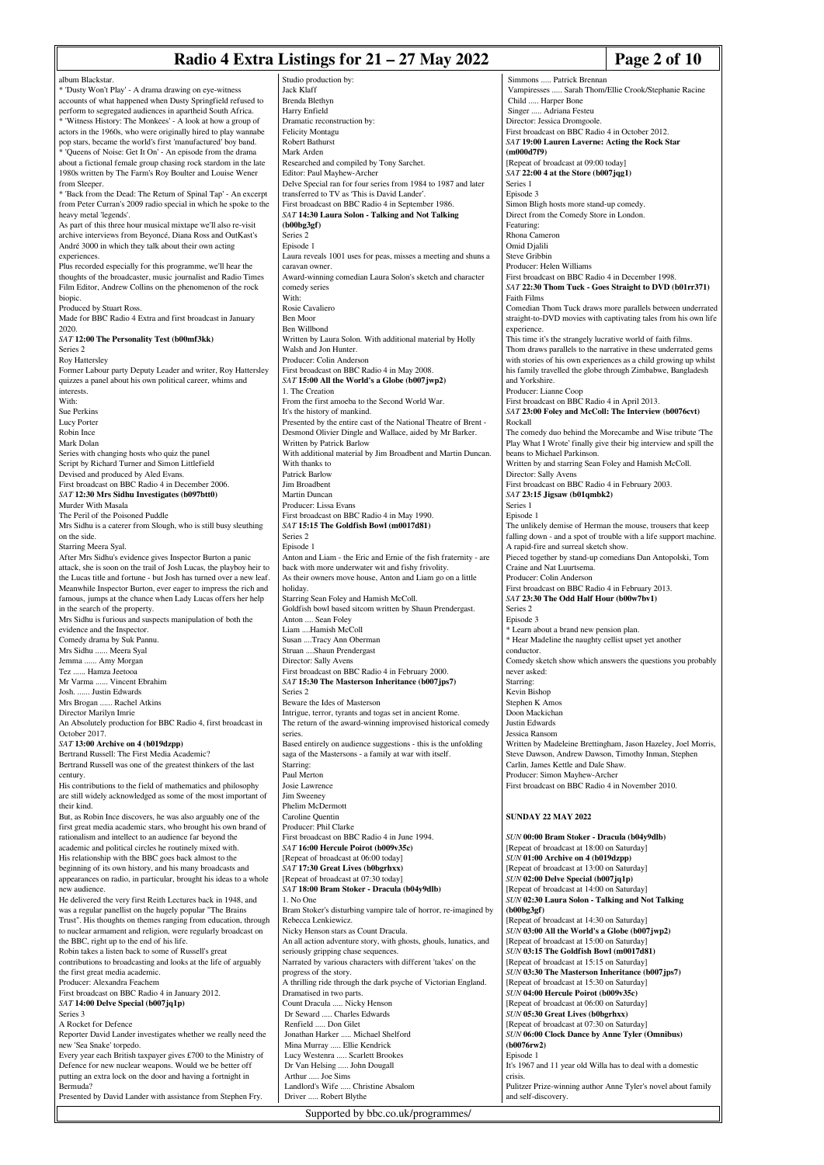# **Radio 4 Extra Listings for 21 – 27 May 2022 Page 2 of 10**

|                                                                                                                               |                                                                                                                          | - -- <del>.</del><br>$-$                                                                 |
|-------------------------------------------------------------------------------------------------------------------------------|--------------------------------------------------------------------------------------------------------------------------|------------------------------------------------------------------------------------------|
| album Blackstar.                                                                                                              | Studio production by:                                                                                                    | Simmons  Patrick Brennan                                                                 |
| * 'Dusty Won't Play' - A drama drawing on eye-witness                                                                         | Jack Klaff                                                                                                               | Vampiresses  Sarah Thom/Ellie Crook/Stephanie Racine                                     |
| accounts of what happened when Dusty Springfield refused to                                                                   | Brenda Blethyn                                                                                                           | Child  Harper Bone                                                                       |
| perform to segregated audiences in apartheid South Africa.                                                                    | Harry Enfield                                                                                                            | Singer  Adriana Festeu                                                                   |
| * 'Witness History: The Monkees' - A look at how a group of                                                                   | Dramatic reconstruction by:                                                                                              | Director: Jessica Dromgoole.                                                             |
| actors in the 1960s, who were originally hired to play wannabe                                                                | <b>Felicity Montagu</b>                                                                                                  | First broadcast on BBC Radio 4 in October 2012.                                          |
| pop stars, became the world's first 'manufactured' boy band.                                                                  | Robert Bathurst                                                                                                          | SAT 19:00 Lauren Laverne: Acting the Rock Star                                           |
| * 'Queens of Noise: Get It On' - An episode from the drama<br>about a fictional female group chasing rock stardom in the late | Mark Arden<br>Researched and compiled by Tony Sarchet.                                                                   | (m000d7f9)<br>[Repeat of broadcast at 09:00 today]                                       |
| 1980s written by The Farm's Roy Boulter and Louise Wener                                                                      | Editor: Paul Mayhew-Archer                                                                                               | $SAT$ 22:00 4 at the Store (b007jqg1)                                                    |
| from Sleeper.                                                                                                                 | Delve Special ran for four series from 1984 to 1987 and later                                                            | Series 1                                                                                 |
| * 'Back from the Dead: The Return of Spinal Tap' - An excerpt                                                                 | transferred to TV as 'This is David Lander'.                                                                             | Episode 3                                                                                |
| from Peter Curran's 2009 radio special in which he spoke to the                                                               | First broadcast on BBC Radio 4 in September 1986.                                                                        | Simon Bligh hosts more stand-up comedy.                                                  |
| heavy metal 'legends'.                                                                                                        | SAT 14:30 Laura Solon - Talking and Not Talking                                                                          | Direct from the Comedy Store in London.                                                  |
| As part of this three hour musical mixtape we'll also re-visit                                                                | (b00bg3gf)                                                                                                               | Featuring:                                                                               |
| archive interviews from Beyoncé, Diana Ross and OutKast's                                                                     | Series <sub>2</sub>                                                                                                      | Rhona Cameron                                                                            |
| André 3000 in which they talk about their own acting                                                                          | Episode 1                                                                                                                | Omid Djalili                                                                             |
| experiences.<br>Plus recorded especially for this programme, we'll hear the                                                   | Laura reveals 1001 uses for peas, misses a meeting and shuns a                                                           | Steve Gribbin<br>Producer: Helen Williams                                                |
| thoughts of the broadcaster, music journalist and Radio Times                                                                 | caravan owner.<br>Award-winning comedian Laura Solon's sketch and character                                              | First broadcast on BBC Radio 4 in December 1998.                                         |
| Film Editor, Andrew Collins on the phenomenon of the rock                                                                     | comedy series                                                                                                            | SAT 22:30 Thom Tuck - Goes Straight to DVD (b01rr371)                                    |
| biopic.                                                                                                                       | With:                                                                                                                    | Faith Films                                                                              |
| Produced by Stuart Ross.                                                                                                      | Rosie Cavaliero                                                                                                          | Comedian Thom Tuck draws more parallels between underrated                               |
| Made for BBC Radio 4 Extra and first broadcast in January                                                                     | Ben Moor                                                                                                                 | straight-to-DVD movies with captivating tales from his own life                          |
| 2020.                                                                                                                         | Ben Willbond                                                                                                             | experience.                                                                              |
| SAT 12:00 The Personality Test (b00mf3kk)                                                                                     | Written by Laura Solon. With additional material by Holly                                                                | This time it's the strangely lucrative world of faith films.                             |
| Series <sub>2</sub>                                                                                                           | Walsh and Jon Hunter.                                                                                                    | Thom draws parallels to the narrative in these underrated gems                           |
| Roy Hattersley                                                                                                                | Producer: Colin Anderson                                                                                                 | with stories of his own experiences as a child growing up whilst                         |
| Former Labour party Deputy Leader and writer, Roy Hattersley                                                                  | First broadcast on BBC Radio 4 in May 2008.                                                                              | his family travelled the globe through Zimbabwe, Bangladesh                              |
| quizzes a panel about his own political career, whims and<br>interests.                                                       | SAT 15:00 All the World's a Globe (b007jwp2)<br>1. The Creation                                                          | and Yorkshire.<br>Producer: Lianne Coop                                                  |
| With:                                                                                                                         | From the first amoeba to the Second World War.                                                                           | First broadcast on BBC Radio 4 in April 2013.                                            |
| Sue Perkins                                                                                                                   | It's the history of mankind.                                                                                             | SAT 23:00 Foley and McColl: The Interview (b0076cvt)                                     |
| Lucy Porter                                                                                                                   | Presented by the entire cast of the National Theatre of Brent -                                                          | Rockall                                                                                  |
| Robin Ince                                                                                                                    | Desmond Olivier Dingle and Wallace, aided by Mr Barker.                                                                  | The comedy duo behind the Morecambe and Wise tribute 'The                                |
| Mark Dolan                                                                                                                    | Written by Patrick Barlow                                                                                                | Play What I Wrote' finally give their big interview and spill the                        |
| Series with changing hosts who quiz the panel                                                                                 | With additional material by Jim Broadbent and Martin Duncan.                                                             | beans to Michael Parkinson.                                                              |
| Script by Richard Turner and Simon Littlefield                                                                                | With thanks to                                                                                                           | Written by and starring Sean Foley and Hamish McColl.                                    |
| Devised and produced by Aled Evans.                                                                                           | Patrick Barlow                                                                                                           | Director: Sally Avens                                                                    |
| First broadcast on BBC Radio 4 in December 2006.                                                                              | Jim Broadbent                                                                                                            | First broadcast on BBC Radio 4 in February 2003.                                         |
| SAT 12:30 Mrs Sidhu Investigates (b097btt0)<br>Murder With Masala                                                             | Martin Duncan<br>Producer: Lissa Evans                                                                                   | SAT 23:15 Jigsaw (b01qmbk2)<br>Series 1                                                  |
| The Peril of the Poisoned Puddle                                                                                              | First broadcast on BBC Radio 4 in May 1990.                                                                              | Episode 1                                                                                |
| Mrs Sidhu is a caterer from Slough, who is still busy sleuthing                                                               | SAT 15:15 The Goldfish Bowl (m0017d81)                                                                                   | The unlikely demise of Herman the mouse, trousers that keep                              |
| on the side.                                                                                                                  | Series <sub>2</sub>                                                                                                      | falling down - and a spot of trouble with a life support machine.                        |
| Starring Meera Syal.                                                                                                          | Episode 1                                                                                                                | A rapid-fire and surreal sketch show.                                                    |
| After Mrs Sidhu's evidence gives Inspector Burton a panic                                                                     | Anton and Liam - the Eric and Ernie of the fish fraternity - are                                                         | Pieced together by stand-up comedians Dan Antopolski, Tom                                |
| attack, she is soon on the trail of Josh Lucas, the playboy heir to                                                           | back with more underwater wit and fishy frivolity.                                                                       | Craine and Nat Luurtsema.                                                                |
| the Lucas title and fortune - but Josh has turned over a new leaf.                                                            | As their owners move house, Anton and Liam go on a little                                                                | Producer: Colin Anderson                                                                 |
| Meanwhile Inspector Burton, ever eager to impress the rich and                                                                | holiday.                                                                                                                 | First broadcast on BBC Radio 4 in February 2013.                                         |
| famous, jumps at the chance when Lady Lucas offers her help<br>in the search of the property.                                 | Starring Sean Foley and Hamish McColl.                                                                                   | SAT 23:30 The Odd Half Hour (b00w7bv1)<br>Series 2                                       |
| Mrs Sidhu is furious and suspects manipulation of both the                                                                    | Goldfish bowl based sitcom written by Shaun Prendergast.<br>Anton  Sean Foley                                            | Episode 3                                                                                |
| evidence and the Inspector.                                                                                                   | Liam Hamish McColl                                                                                                       | * Learn about a brand new pension plan.                                                  |
| Comedy drama by Suk Pannu.                                                                                                    | Susan Tracy Ann Oberman                                                                                                  | * Hear Madeline the naughty cellist upset yet another                                    |
| Mrs Sidhu  Meera Syal                                                                                                         | Struan Shaun Prendergast                                                                                                 | conductor.                                                                               |
| Jemma  Amy Morgan                                                                                                             | Director: Sally Avens                                                                                                    | Comedy sketch show which answers the questions you probably                              |
| Tez  Hamza Jeetooa                                                                                                            | First broadcast on BBC Radio 4 in February 2000.                                                                         | never asked:                                                                             |
| Mr Varma  Vincent Ebrahim                                                                                                     | SAT 15:30 The Masterson Inheritance (b007jps7)                                                                           | Starring:                                                                                |
| Josh.  Justin Edwards                                                                                                         | Series <sub>2</sub>                                                                                                      | Kevin Bishop                                                                             |
| Mrs Brogan  Rachel Atkins                                                                                                     | Beware the Ides of Masterson                                                                                             | Stephen K Amos                                                                           |
| Director Marilyn Imrie                                                                                                        | Intrigue, terror, tyrants and togas set in ancient Rome.<br>The return of the award-winning improvised historical comedy | Doon Mackichan<br>Justin Edwards                                                         |
| An Absolutely production for BBC Radio 4, first broadcast in<br>October 2017.                                                 | series.                                                                                                                  | Jessica Ransom                                                                           |
| SAT 13:00 Archive on 4 (b019dzpp)                                                                                             | Based entirely on audience suggestions - this is the unfolding                                                           | Written by Madeleine Brettingham, Jason Hazeley, Joel Morris,                            |
| Bertrand Russell: The First Media Academic?                                                                                   | saga of the Mastersons - a family at war with itself.                                                                    | Steve Dawson, Andrew Dawson, Timothy Inman, Stephen                                      |
| Bertrand Russell was one of the greatest thinkers of the last                                                                 | Starring:                                                                                                                | Carlin, James Kettle and Dale Shaw.                                                      |
| century.                                                                                                                      | Paul Merton                                                                                                              | Producer: Simon Mayhew-Archer                                                            |
| His contributions to the field of mathematics and philosophy                                                                  | Josie Lawrence                                                                                                           | First broadcast on BBC Radio 4 in November 2010.                                         |
| are still widely acknowledged as some of the most important of                                                                | Jim Sweeney                                                                                                              |                                                                                          |
| their kind.                                                                                                                   | Phelim McDermott                                                                                                         |                                                                                          |
| But, as Robin Ince discovers, he was also arguably one of the                                                                 | Caroline Quentin                                                                                                         | <b>SUNDAY 22 MAY 2022</b>                                                                |
| first great media academic stars, who brought his own brand of                                                                | Producer: Phil Clarke                                                                                                    |                                                                                          |
| rationalism and intellect to an audience far beyond the<br>academic and political circles he routinely mixed with.            | First broadcast on BBC Radio 4 in June 1994.<br>SAT 16:00 Hercule Poirot (b009v35c)                                      | SUN 00:00 Bram Stoker - Dracula (b04y9dlb)<br>[Repeat of broadcast at 18:00 on Saturday] |
| His relationship with the BBC goes back almost to the                                                                         | [Repeat of broadcast at 06:00 today]                                                                                     | SUN 01:00 Archive on 4 (b019dzpp)                                                        |
| beginning of its own history, and his many broadcasts and                                                                     | SAT 17:30 Great Lives (b0bgrhxx)                                                                                         | [Repeat of broadcast at 13:00 on Saturday]                                               |
| appearances on radio, in particular, brought his ideas to a whole                                                             | [Repeat of broadcast at 07:30 today]                                                                                     | $SUN$ 02:00 Delve Special (b007jq1p)                                                     |
| new audience.                                                                                                                 | SAT 18:00 Bram Stoker - Dracula (b04y9dlb)                                                                               | [Repeat of broadcast at 14:00 on Saturday]                                               |
| He delivered the very first Reith Lectures back in 1948, and                                                                  | 1. No One                                                                                                                | SUN 02:30 Laura Solon - Talking and Not Talking                                          |
| was a regular panellist on the hugely popular "The Brains                                                                     | Bram Stoker's disturbing vampire tale of horror, re-imagined by                                                          | (b00bg3gf)                                                                               |
| Trust". His thoughts on themes ranging from education, through                                                                | Rebecca Lenkiewicz.                                                                                                      | [Repeat of broadcast at 14:30 on Saturday]                                               |
| to nuclear armament and religion, were regularly broadcast on                                                                 | Nicky Henson stars as Count Dracula.                                                                                     | SUN 03:00 All the World's a Globe (b007jwp2)                                             |
|                                                                                                                               |                                                                                                                          | [Repeat of broadcast at 15:00 on Saturday]                                               |
| the BBC, right up to the end of his life.                                                                                     | An all action adventure story, with ghosts, ghouls, lunatics, and                                                        |                                                                                          |
| Robin takes a listen back to some of Russell's great                                                                          | seriously gripping chase sequences.                                                                                      | SUN 03:15 The Goldfish Bowl (m0017d81)                                                   |
| contributions to broadcasting and looks at the life of arguably                                                               | Narrated by various characters with different 'takes' on the                                                             | [Repeat of broadcast at 15:15 on Saturday]                                               |
| the first great media academic.                                                                                               | progress of the story.                                                                                                   | SUN 03:30 The Masterson Inheritance (b007jps7)                                           |
| Producer: Alexandra Feachem                                                                                                   | A thrilling ride through the dark psyche of Victorian England.                                                           | [Repeat of broadcast at 15:30 on Saturday]                                               |
| First broadcast on BBC Radio 4 in January 2012.                                                                               | Dramatised in two parts.                                                                                                 | SUN 04:00 Hercule Poirot (b009v35c)                                                      |
| SAT 14:00 Delve Special (b007jq1p)<br>Series 3                                                                                | Count Dracula  Nicky Henson                                                                                              | [Repeat of broadcast at 06:00 on Saturday]                                               |
| A Rocket for Defence                                                                                                          | Dr Seward  Charles Edwards<br>Renfield  Don Gilet                                                                        | SUN 05:30 Great Lives (b0bgrhxx)<br>[Repeat of broadcast at 07:30 on Saturday]           |
| Reporter David Lander investigates whether we really need the                                                                 | Jonathan Harker  Michael Shelford                                                                                        | SUN 06:00 Clock Dance by Anne Tyler (Omnibus)                                            |
| new 'Sea Snake' torpedo.                                                                                                      | Mina Murray  Ellie Kendrick                                                                                              | (b0076rw2)                                                                               |
| Every year each British taxpayer gives £700 to the Ministry of                                                                | Lucy Westenra  Scarlett Brookes                                                                                          | Episode 1                                                                                |
| Defence for new nuclear weapons. Would we be better off                                                                       | Dr Van Helsing  John Dougall                                                                                             | It's 1967 and 11 year old Willa has to deal with a domestic                              |
| putting an extra lock on the door and having a fortnight in                                                                   | Arthur  Joe Sims                                                                                                         | crisis.                                                                                  |
| Bermuda?<br>Presented by David Lander with assistance from Stephen Fry.                                                       | Landlord's Wife  Christine Absalom<br>Driver  Robert Blythe                                                              | Pulitzer Prize-winning author Anne Tyler's novel about family<br>and self-discovery.     |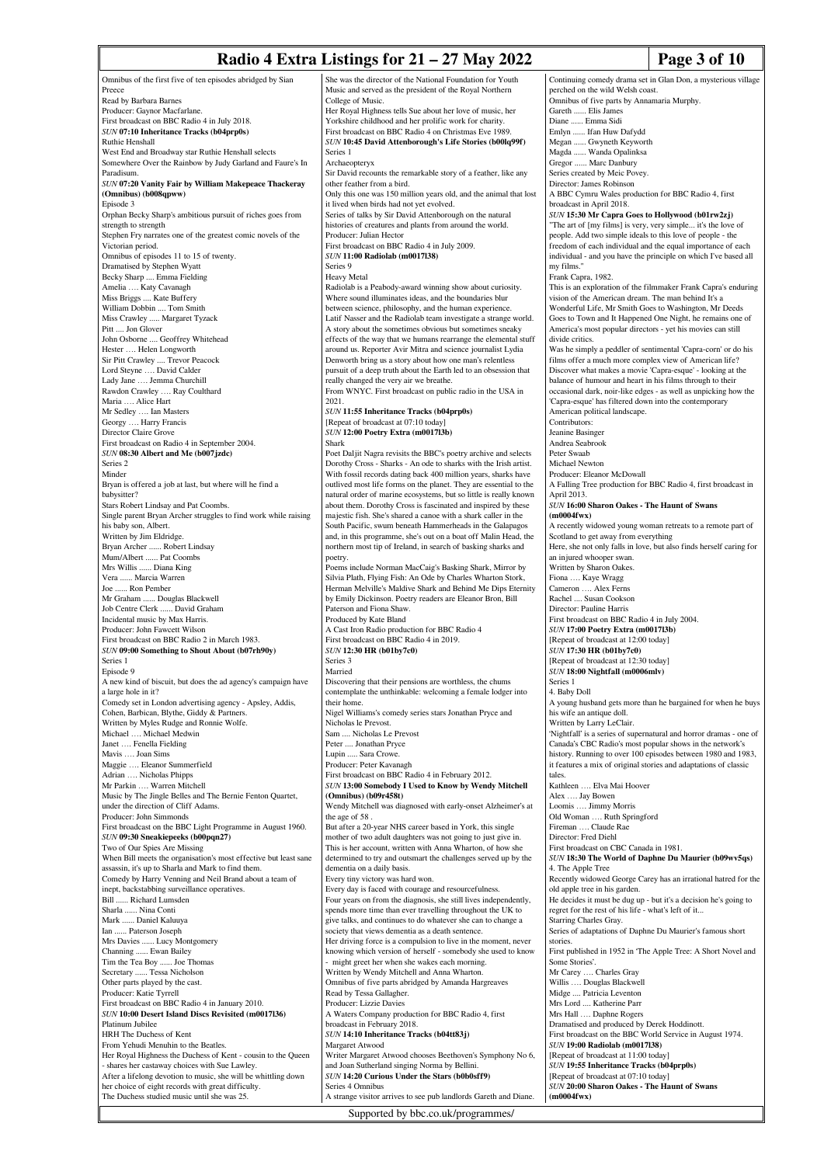# **Radio 4 Extra Listings for 21 – 27 May 2022** Page 3 of 10

Omnibus of the first five of ten episodes abridged by Sian Preece Read by Barbara Barnes Producer: Gaynor Macfarlane. First broadcast on BBC Radio 4 in July 2018. *SUN* **07:10 Inheritance Tracks (b04prp0s)** Ruthie Henshall West End and Broadway star Ruthie Henshall selects Somewhere Over the Rainbow by Judy Garland and Faure's In Paradisum. *SUN* **07:20 Vanity Fair by William Makepeace Thackeray (Omnibus) (b008qpww)** Episode 3 Orphan Becky Sharp's ambitious pursuit of riches goes from strength to strength Stephen Fry narrates one of the greatest comic novels of the Victorian period. Omnibus of episodes 11 to 15 of twenty. Dramatised by Stephen Wyatt Becky Sharp .... Emma Fielding Amelia …. Katy Cavanagh Miss Briggs .... Kate Buffery William Dobbin .... Tom Smith Miss Crawley ..... Margaret Tyzack Pitt .... Jon Glover John Osborne .... Geoffrey Whitehead Hester .... Helen Longworth Sir Pitt Crawley .... Trevor Peacock Lord Steyne …. David Calder Lady Jane …. Jemma Churchill Rawdon Crawley …. Ray Coulthard Maria …. Alice Hart Mr Sedley …. Ian Masters Georgy …. Harry Francis Director Claire Grove First broadcast on Radio 4 in September 2004. *SUN* **08:30 Albert and Me (b007jzdc)** Series 2 Minder Bryan is offered a job at last, but where will he find a babysitter? Stars Robert Lindsay and Pat Coombs. Single parent Bryan Archer struggles to find work while raising his baby son, Albert. Written by Jim Eldridge. Bryan Archer ...... Robert Lindsay Mum/Albert ...... Pat Coombs Mrs Willis ...... Diana King Vera ...... Marcia Warren Joe ...... Ron Pember Mr Graham ...... Douglas Blackwell Job Centre Clerk ...... David Graham Incidental music by Max Harris. Producer: John Fawcett Wilson First broadcast on BBC Radio 2 in March 1983. *SUN* **09:00 Something to Shout About (b07rh90y)** Series 1 Episode 9 A new kind of biscuit, but does the ad agency's campaign have a large hole in it? Comedy set in London advertising agency - Apsley, Addis, Cohen, Barbican, Blythe, Giddy & Partners. Written by Myles Rudge and Ronnie Wolfe. Michael .... Michael Medwin Janet …. Fenella Fielding Mavis …. Joan Sims Maggie …. Eleanor Summerfield Adrian …. Nicholas Phipps Mr Parkin …. Warren Mitchell Music by The Jingle Belles and The Bernie Fenton Quartet, under the direction of Cliff Adams. Producer: John Simmonds First broadcast on the BBC Light Programme in August 1960. *SUN* **09:30 Sneakiepeeks (b00pqn27)** Two of Our Spies Are Missing When Bill meets the organisation's most effective but least sane assassin, it's up to Sharla and Mark to find them. Comedy by Harry Venning and Neil Brand about a team of inept, backstabbing surveillance operatives. Bill ...... Richard Lumsden Sharla ...... Nina Conti Mark ...... Daniel Kaluuya Ian ...... Paterson Joseph Mrs Davies ...... Lucy Montgomery<br>Channing ...... Ewan Bailey Channing ...... Ewan Bailey Tim the Tea Boy ...... Joe Thomas Secretary ...... Tessa Nicholson Other parts played by the cast. Producer: Katie Tyrrell First broadcast on BBC Radio 4 in January 2010. *SUN* **10:00 Desert Island Discs Revisited (m0017l36)** Platinum Jubilee HRH The Duchess of Kent From Yehudi Menuhin to the Beatles. Her Royal Highness the Duchess of Kent - cousin to the Queen - shares her castaway choices with Sue Lawley. After a lifelong devotion to music, she will be whittling down her choice of eight records with great difficulty. The Duchess studied music until she was 25. She was the director of the National Foundation for Youth Music and served as the president of the Royal Northern College of Music. Her Royal Highness tells Sue about her love of music, her Yorkshire childhood and her prolific work for charity. First broadcast on BBC Radio 4 on Christmas Eve 1989. *SUN* **10:45 David Attenborough's Life Stories (b00lq99f)** Series 1 Archaeopteryx Sir David recounts the remarkable story of a feather, like any other feather from a bird. Only this one was 150 million years old, and the animal that lost it lived when birds had not yet evolved. Series of talks by Sir David Attenborough on the natural histories of creatures and plants from around the world. Producer: Julian Hector First broadcast on BBC Radio 4 in July 2009. *SUN* **11:00 Radiolab (m0017l38)** Series 9 Heavy Metal Radiolab is a Peabody-award winning show about curiosity. Where sound illuminates ideas, and the boundaries blur between science, philosophy, and the human experience. Latif Nasser and the Radiolab team investigate a strange world. A story about the sometimes obvious but sometimes sneaky effects of the way that we humans rearrange the elemental stuff around us. Reporter Avir Mitra and science journalist Lydia Denworth bring us a story about how one man's relentle pursuit of a deep truth about the Earth led to an obsession that really changed the very air we breathe. From WNYC. First broadcast on public radio in the USA in 2021. *SUN* **11:55 Inheritance Tracks (b04prp0s)** [Repeat of broadcast at 07:10 today] *SUN* **12:00 Poetry Extra (m0017l3b)** Shark Poet Daljit Nagra revisits the BBC's poetry archive and selects Dorothy Cross - Sharks - An ode to sharks with the Irish artist. With fossil records dating back 400 million years, sharks have outlived most life forms on the planet. They are essential to the natural order of marine ecosystems, but so little is really known about them. Dorothy Cross is fascinated and inspired by these majestic fish. She's shared a canoe with a shark caller in the South Pacific, swum beneath Hammerheads in the Galapagos and, in this programme, she's out on a boat off Malin Head, the northern most tip of Ireland, in search of basking sharks and poetry. Poems include Norman MacCaig's Basking Shark, Mirror by Silvia Plath, Flying Fish: An Ode by Charles Wharton Stork, Herman Melville's Maldive Shark and Behind Me Dips Eternity by Emily Dickinson. Poetry readers are Eleanor Bron, Bill Paterson and Fiona Shaw. Produced by Kate Bland A Cast Iron Radio production for BBC Radio 4 First broadcast on BBC Radio 4 in 2019. *SUN* **12:30 HR (b01by7c0)** Series<sup>3</sup> Married Discovering that their pensions are worthless, the chums contemplate the unthinkable: welcoming a female lodger into their home. Nigel Williams's comedy series stars Jonathan Pryce and Nicholas le Prevost. Sam .... Nicholas Le Prevost Peter .... Jonathan Pryce Lupin ..... Sara Crowe. Producer: Peter Kavanagh First broadcast on BBC Radio 4 in February 2012. *SUN* **13:00 Somebody I Used to Know by Wendy Mitchell (Omnibus) (b09r458t)** Wendy Mitchell was diagnosed with early-onset Alzheimer's at the age of 58 But after a 20-year NHS career based in York, this single mother of two adult daughters was not going to just give in. This is her account, written with Anna Wharton, of how she determined to try and outsmart the challenges served up by the dementia on a daily basis. Every tiny victory was hard won. Every day is faced with courage and resourcefulness. Four years on from the diagnosis, she still lives independently, spends more time than ever travelling throughout the UK to give talks, and continues to do whatever she can to change a society that views dementia as a death sentence. Her driving force is a compulsion to live in the moment, never knowing which version of herself - somebody she used to know - might greet her when she wakes each morning. Written by Wendy Mitchell and Anna Wharton. Omnibus of five parts abridged by Amanda Hargreaves Read by Tessa Gallagher. Producer: Lizzie Davies A Waters Company production for BBC Radio 4, first broadcast in February 2018. *SUN* **14:10 Inheritance Tracks (b04tt83j)** Margaret Atwood Writer Margaret Atwood chooses Beethoven's Symphony No 6, and Joan Sutherland singing Norma by Bellini. *SUN* **14:20 Curious Under the Stars (b0b0sff9)** Series 4 Omnibu A strange visitor arrives to see pub landlords Gareth and Diane. Continuing comedy drama set in Glan Don, a mysterious village perched on the wild Welsh coast. Omnibus of five parts by Annamaria Murphy. Gareth ...... Elis James Diane ...... Emma Sidi Emlyn ...... Ifan Huw Dafydd . Gwyneth Keyworth Magda ...... Wanda Opalinksa Gregor ...... Marc Danbury Series created by Meic Povey. Director: James Robinson A BBC Cymru Wales production for BBC Radio 4, first broadcast in April 2018. *SUN* **15:30 Mr Capra Goes to Hollywood (b01rw2zj)** "The art of [my films] is very, very simple... it's the love of people. Add two simple ideals to this love of people - the freedom of each individual and the equal importance of each individual - and you have the principle on which I've based all my films." Frank Capra, 1982. This is an exploration of the filmmaker Frank Capra's enduring vision of the American dream. The man behind It's a Wonderful Life, Mr Smith Goes to Washington, Mr Deeds Goes to Town and It Happened One Night, he remains one of America's most popular directors - yet his movies can still divide critics. Was he simply a peddler of sentimental 'Capra-corn' or do his films offer a much more complex view of American life? Discover what makes a movie 'Capra-esque' - looking at the balance of humour and heart in his films through to their occasional dark, noir-like edges - as well as unpicking how the 'Capra-esque' has filtered down into the contemporary American political landscape. Contributors: Jeanine Basinger Andrea Seabrook Peter Swaab Michael Newton Producer: Eleanor McDowall A Falling Tree production for BBC Radio 4, first broadcast in April 2013. *SUN* **16:00 Sharon Oakes - The Haunt of Swans (m0004fwx)** A recently widowed young woman retreats to a remote part of Scotland to get away from everything Here, she not only falls in love, but also finds herself caring for an injured whooper swan. Written by Sharon Oakes. Fiona …. Kaye Wragg Cameron …. Alex Ferns Rachel .... Susan Cookson Director: Pauline Harris First broadcast on BBC Radio 4 in July 2004. *SUN* **17:00 Poetry Extra (m0017l3b)** [Repeat of broadcast at 12:00 today] *SUN* **17:30 HR (b01by7c0)** [Repeat of broadcast at 12:30 today] *SUN* **18:00 Nightfall (m0006mlv)** Series 1 4. Baby Doll A young husband gets more than he bargained for when he buys his wife an antique doll. Written by Larry LeClair. 'Nightfall' is a series of supernatural and horror dramas - one of Canada's CBC Radio's most popular shows in the network's history. Running to over 100 episodes between 1980 and 1983, it features a mix of original stories and adaptations of classic tales. Kathleen …. Elva Mai Hoover Alex …. Jay Bowen Loomis …. Jimmy Morris Old Woman …. Ruth Springford Fireman .... Claude Rae Director: Fred Diehl First broadcast on CBC Canada in 1981. *SUN* **18:30 The World of Daphne Du Maurier (b09wv5qs)** 4. The Apple Tree Recently widowed George Carey has an irrational hatred for the old apple tree in his garden. He decides it must be dug up - but it's a decision he's going to regret for the rest of his life - what's left of it... Starring Charles Gray. Series of adaptations of Daphne Du Maurier's famous short stories. First published in 1952 in 'The Apple Tree: A Short Novel and Some Stories'. Mr Carey …. Charles Gray Willis …. Douglas Blackwell Midge .... Patricia Leventon Mrs Lord .... Katherine Parr Mrs Hall .... Daphne Rogers Dramatised and produced by Derek Hoddinott. First broadcast on the BBC World Service in August 1974. *SUN* **19:00 Radiolab (m0017l38)** [Repeat of broadcast at 11:00 today] *SUN* **19:55 Inheritance Tracks (b04prp0s)** [Repeat of broadcast at 07:10 today] *SUN* **20:00 Sharon Oakes - The Haunt of Swans (m0004fwx)**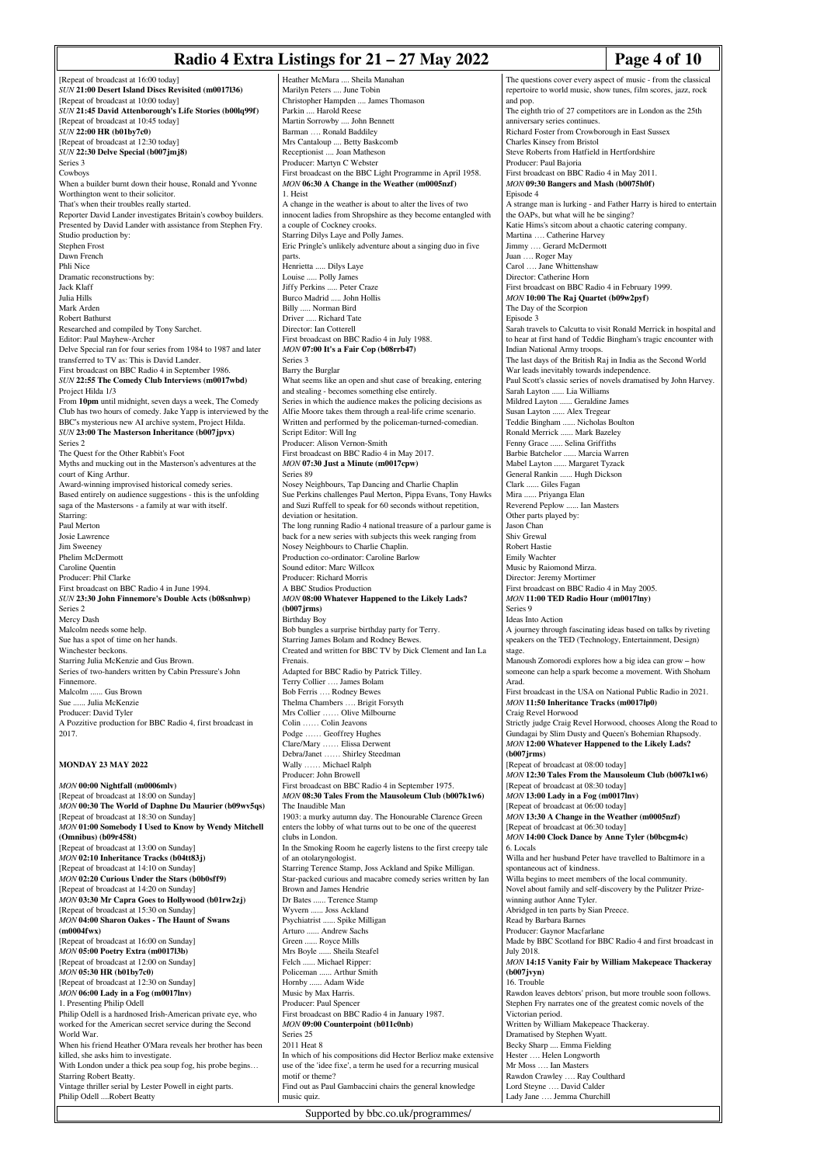#### **Radio 4 Extra Listings for 21 – 27 May 2022** Page 4 of 10

Parkin .... Harold Reese Martin Sorrowby .... John Bennett Barman …. Ronald Baddiley Mrs Cantaloup .... Betty Baskcomb

Heather McMara .... Sheila Manahan Marilyn Peters .... June Tobin Christopher Hampden .... James Thomason

[Repeat of broadcast at 16:00 today] *SUN* **21:00 Desert Island Discs Revisited (m0017l36)** [Repeat of broadcast at 10:00 today] *SUN* **21:45 David Attenborough's Life Stories (b00lq99f)** [Repeat of broadcast at 10:45 today] *SUN* **22:00 HR (b01by7c0)** [Repeat of broadcast at 12:30 today] *SUN* **22:30 Delve Special (b007jmj8)** Series 3 Cowboys When a builder burnt down their house, Ronald and Yvonne Worthington went to their solicitor. That's when their troubles really started. Reporter David Lander investigates Britain's cowboy builders. Presented by David Lander with assistance from Stephen Fry. Studio production by: Stephen Frost Dawn French Phli Nice Dramatic reconstructions by: Jack Klaff Julia Hills Mark Arden Robert Bathurst Researched and compiled by Tony Sarchet. Editor: Paul Mayhew-Archer Delve Special ran for four series from 1984 to 1987 and later transferred to TV as: This is David Lander. First broadcast on BBC Radio 4 in September 1986. *SUN* **22:55 The Comedy Club Interviews (m0017wbd)** Project Hilda 1/3 From **10pm** until midnight, seven days a week, The Comedy Club has two hours of comedy. Jake Yapp is interviewed by the BBC's mysterious new AI archive system, Project Hilda. *SUN* **23:00 The Masterson Inheritance (b007jpvx)** Series 2 The Quest for the Other Rabbit's Foot Myths and mucking out in the Masterson's adventures at the court of King Arthur. Award-winning improvised historical comedy series. Based entirely on audience suggestions - this is the unfolding saga of the Mastersons - a family at war with itself. Starring: Paul Merton Josie Lawrence Jim Sweeney Phelim McDermott Caroline Quentin Producer: Phil Clarke First broadcast on BBC Radio 4 in June 1994. *SUN* **23:30 John Finnemore's Double Acts (b08snhwp)** Series 2 Mercy Dash Malcolm needs some help. Sue has a spot of time on her hands. Winchester beckons. Starring Julia McKenzie and Gus Brown. Series of two-handers written by Cabin Pressure's John Finnemore. Malcolm ...... Gus Brown Sue ...... Julia McKenzie Producer: David Tyler A Pozzitive production for BBC Radio 4, first broadcast in 2017. **MONDAY 23 MAY 2022** *MON* **00:00 Nightfall (m0006mlv)** [Repeat of broadcast at 18:00 on Sunday] *MON* **00:30 The World of Daphne Du Maurier (b09wv5qs)** [Repeat of broadcast at 18:30 on Sunday] *MON* **01:00 Somebody I Used to Know by Wendy Mitchell (Omnibus) (b09r458t)** [Repeat of broadcast at 13:00 on Sunday] *MON* **02:10 Inheritance Tracks (b04tt83j)** [Repeat of broadcast at 14:10 on Sunday] *MON* **02:20 Curious Under the Stars (b0b0sff9)** [Repeat of broadcast at 14:20 on Sunday] *MON* **03:30 Mr Capra Goes to Hollywood (b01rw2zj)** [Repeat of broadcast at 15:30 on Sunday] *MON* **04:00 Sharon Oakes - The Haunt of Swans (m0004fwx)** [Repeat of broadcast at 16:00 on Sunday] *MON* **05:00 Poetry Extra (m0017l3b)** [Repeat of broadcast at 12:00 on Sunday] *MON* **05:30 HR (b01by7c0)** [Repeat of broadcast at 12:30 on Sunday] *MON* **06:00 Lady in a Fog (m0017lnv)** 1. Presenting Philip Odell Philip Odell is a hardnosed Irish-American private eye, who worked for the American secret service during the Second World War. When his friend Heather O'Mara reveals her brother has been killed, she asks him to investigate

With London under a thick pea soup fog, his probe begins…

Vintage thriller serial by Lester Powell in eight parts.

Starring Robert Beatty.

Philip Odell ....Robert Beatty

Receptionist .... Joan Matheson Producer: Martyn C Webster First broadcast on the BBC Light Programme in April 1958. *MON* **06:30 A Change in the Weather (m0005nzf)** 1. Heist A change in the weather is about to alter the lives of two innocent ladies from Shropshire as they become entangled with a couple of Cockney crooks. Starring Dilys Laye and Polly James. Eric Pringle's unlikely adventure about a singing duo in five parts. Henrietta ..... Dilys Laye Louise ..... Polly James Jiffy Perkins ..... Peter Craze Burco Madrid ..... John Hollis Billy ..... Norman Bird Driver ..... Richard Tate Director: Ian Cotterell First broadcast on BBC Radio 4 in July 1988. *MON* **07:00 It's a Fair Cop (b08rrb47)** Series 3 Barry the Burglar What seems like an open and shut case of breaking, entering and stealing - becomes something else entirely. Series in which the audience makes the policing decisions as Alfie Moore takes them through a real-life crime scenario. Written and performed by the policeman-turned-comedian. Script Editor: Will Ing Producer: Alison Vernon-Smith First broadcast on BBC Radio 4 in May 2017. *MON* **07:30 Just a Minute (m0017cpw)** Series 89 Nosey Neighbours, Tap Dancing and Charlie Chaplin Sue Perkins challenges Paul Merton, Pippa Evans, Tony Hawks and Suzi Ruffell to speak for 60 seconds without repetition, deviation or hesitation. The long running Radio 4 national treasure of a parlour game is back for a new series with subjects this week ranging from Nosey Neighbours to Charlie Chaplin. Production co-ordinator: Caroline Barlow Sound editor: Marc Willcox Producer: Richard Morris A BBC Studios Production *MON* **08:00 Whatever Happened to the Likely Lads? (b007jrms)** Birthday Boy Bob bungles a surprise birthday party for Terry. Starring James Bolam and Rodney Bewes. Created and written for BBC TV by Dick Clement and Ian La Frenais. Adapted for BBC Radio by Patrick Tilley. Terry Collier …. James Bolam Bob Ferris …. Rodney Bewes Thelma Chambers …. Brigit Forsyth Mrs Collier …… Olive Milbourne Colin …… Colin Jeavons Podge ....... Geoffrey Hughes Clare/Mary …… Elissa Derwent ... Shirley Steedman Wally …… Michael Ralph Producer: John Browell First broadcast on BBC Radio 4 in September 1975. *MON* **08:30 Tales From the Mausoleum Club (b007k1w6)** The Inaudible Man 1903: a murky autumn day. The Honourable Clarence Green enters the lobby of what turns out to be one of the queerest clubs in London. In the Smoking Room he eagerly listens to the first creepy tale of an otolaryngologist. Starring Terence Stamp, Joss Ackland and Spike Milligan. Star-packed curious and macabre comedy series written by Ian Brown and James Hendrie Dr Bates ...... Terence Stamp Wyvern ...... Joss Ackland Psychiatrist ...... Spike Milligan Arturo ...... Andrew Sachs Green ...... Royce Mills Mrs Boyle ...... Sheila Steafel Felch ...... Michael Ripper: Policeman ...... Arthur Smith Hornby ...... Adam Wide Music by Max Harris. Producer: Paul Spencer First broadcast on BBC Radio 4 in January 1987. *MON* **09:00 Counterpoint (b011c0nb)** Series 25 2011 Heat 8 In which of his compositions did Hector Berlioz make extensive use of the 'idee fixe', a term he used for a recurring musical motif or theme? Find out as Paul Gambaccini chairs the general knowledge music quiz.

The questions cover every aspect of music - from the classical repertoire to world music, show tunes, film scores, jazz, rock and pop. The eighth trio of 27 competitors are in London as the 25th anniversary series continue Richard Foster from Crowborough in East Sus Charles Kinsey from Bristol Steve Roberts from Hatfield in Hertfordshire Producer: Paul Bajoria First broadcast on BBC Radio 4 in May 2011. *MON* **09:30 Bangers and Mash (b0075h0f)** Episode 4 A strange man is lurking - and Father Harry is hired to entertain the OAPs, but what will he be singing? Katie Hims's sitcom about a chaotic catering company. Martina …. Catherine Harvey Jimmy …. Gerard McDermott Juan …. Roger May Carol …. Jane Whittenshaw Director: Catherine Horn First broadcast on BBC Radio 4 in February 1999. *MON* **10:00 The Raj Quartet (b09w2pyf)** The Day of the Scorpion Episode 3 Sarah travels to Calcutta to visit Ronald Merrick in hospital and to hear at first hand of Teddie Bingham's tragic encounter with Indian National Army troops. The last days of the British Raj in India as the Second World War leads inevitably towards independence. Paul Scott's classic series of novels dramatised by John Harvey. Sarah Layton ...... Lia Williams Mildred Layton ...... Geraldine James Susan Layton ...... Alex Tregear Teddie Bingham ...... Nicholas Boulton Ronald Merrick ...... Mark Bazeley Fenny Grace ...... Selina Griffiths Barbie Batchelor ...... Marcia Warren Mabel Layton ...... Margaret Tyzack General Rankin ...... Hugh Dickson Clark ...... Giles Fagan Mira ...... Priyanga Elan Reverend Peplow ...... Ian Masters Other parts played by: Jason Chan Shiv Grewal Robert Hastie Emily Wachter Music by Raiomond Mirza. Director: Jeremy Mortimer First broadcast on BBC Radio 4 in May 2005. *MON* **11:00 TED Radio Hour (m0017lny)** Series 9 Ideas Into Action A journey through fascinating ideas based on talks by riveting speakers on the TED (Technology, Entertainment, Design) stage. Manoush Zomorodi explores how a big idea can grow – how someone can help a spark become a movement. With Shoham Arad. First broadcast in the USA on National Public Radio in 2021. *MON* **11:50 Inheritance Tracks (m0017lp0)** Craig Revel Horwood Strictly judge Craig Revel Horwood, chooses Along the Road to Gundagai by Slim Dusty and Queen's Bohemian Rhapsody. *MON* **12:00 Whatever Happened to the Likely Lads? (b007jrms)** [Repeat of broadcast at 08:00 today] *MON* **12:30 Tales From the Mausoleum Club (b007k1w6)** [Repeat of broadcast at 08:30 today] *MON* **13:00 Lady in a Fog (m0017lnv)** [Repeat of broadcast at 06:00 today] *MON* **13:30 A Change in the Weather (m0005nzf)** [Repeat of broadcast at 06:30 today] *MON* **14:00 Clock Dance by Anne Tyler (b0bcgm4c)** 6. Locals Willa and her husband Peter have travelled to Baltimore in a spontaneous act of kindness. Willa begins to meet members of the local community. Novel about family and self-discovery by the Pulitzer Prizewinning author Anne Tyler. Abridged in ten parts by Sian Preece. Read by Barbara Barnes Producer: Gaynor Macfarlane Made by BBC Scotland for BBC Radio 4 and first broadcast in July 2018. *MON* **14:15 Vanity Fair by William Makepeace Thackeray (b007jvyn)** 16. Trouble Rawdon leaves debtors' prison, but more trouble soon follows. Stephen Fry narrates one of the greatest comic novels of the Victorian period. Written by William Makepeace Thackeray. Dramatised by Stephen Wyatt. Becky Sharp .... Emma Fielding Hester …. Helen Longworth Mr Moss …. Ian Masters Rawdon Crawley .... Ray Coulthard Lord Steyne …. David Calder Lady Jane …. Jemma Churchill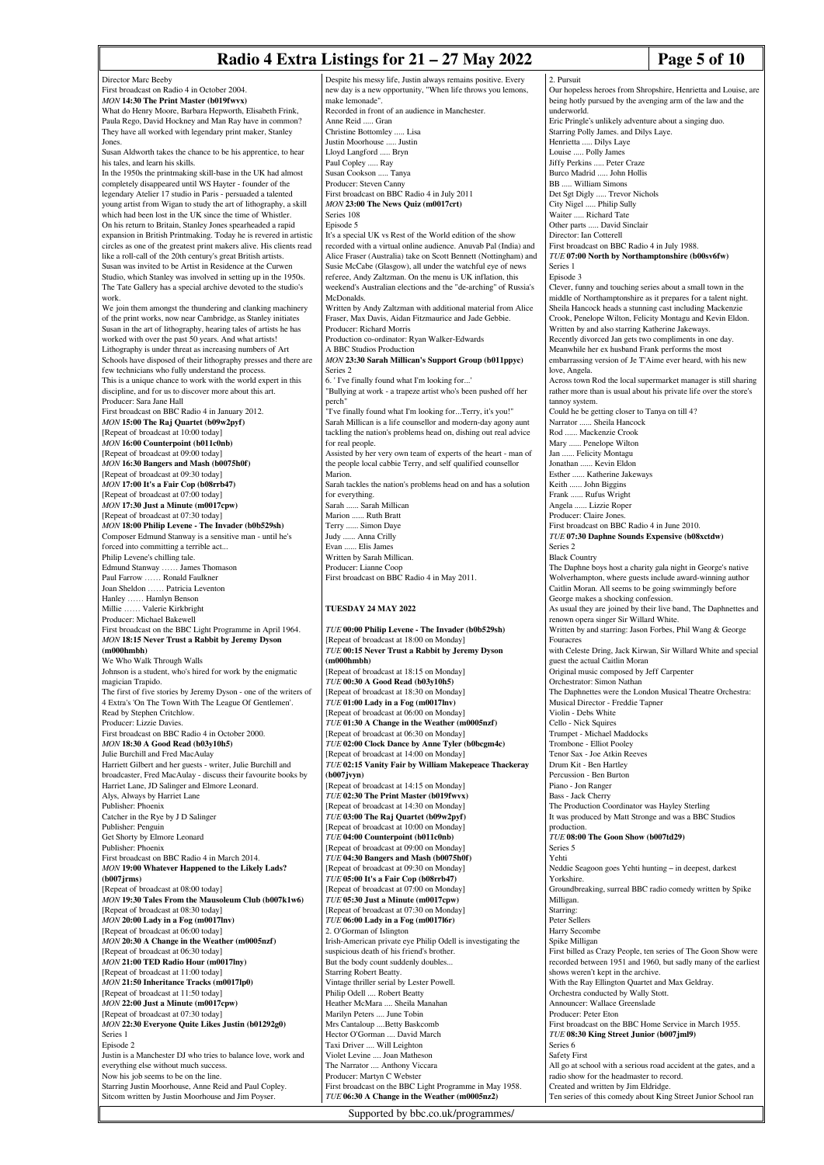## **Radio 4 Extra Listings for 21 – 27 May 2022** Page 5 of 10

Director Marc Beeby First broadcast on Radio 4 in October 2004. *MON* **14:30 The Print Master (b019fwvx)** What do Henry Moore, Barbara Hepworth, Elisabeth Frink, Paula Rego, David Hockney and Man Ray have in common? They have all worked with legendary print maker, Stanley Jones. Susan Aldworth takes the chance to be his apprentice, to hear his tales, and learn his skills. In the 1950s the printmaking skill-base in the UK had almost completely disappeared until WS Hayter - founder of the legendary Atelier 17 studio in Paris - persuaded a talented young artist from Wigan to study the art of lithography, a skill which had been lost in the UK since the time of Whistler. On his return to Britain, Stanley Jones spearheaded a rapid expansion in British Printmaking. Today he is revered in artistic circles as one of the greatest print makers alive. His clients read like a roll-call of the 20th century's great British artists. Susan was invited to be Artist in Residence at the Curwen Studio, which Stanley was involved in setting up in the 1950s. The Tate Gallery has a special archive devoted to the studio's work. We join them amongst the thundering and clanking machinery of the print works, now near Cambridge, as Stanley initiates Susan in the art of lithography, hearing tales of artists he has worked with over the past 50 years. And what artists! Lithography is under threat as increasing numbers of Art Schools have disposed of their lithography presses and there are few technicians who fully understand the process. This is a unique chance to work with the world expert in this discipline, and for us to discover more about this art. Producer: Sara Jane Hall First broadcast on BBC Radio 4 in January 2012. *MON* **15:00 The Raj Quartet (b09w2pyf)** [Repeat of broadcast at 10:00 today] *MON* **16:00 Counterpoint (b011c0nb)** [Repeat of broadcast at 09:00 today] *MON* **16:30 Bangers and Mash (b0075h0f)** [Repeat of broadcast at 09:30 today] *MON* **17:00 It's a Fair Cop (b08rrb47)** [Repeat of broadcast at 07:00 today] *MON* **17:30 Just a Minute (m0017cpw)** [Repeat of broadcast at 07:30 today] *MON* **18:00 Philip Levene - The Invader (b0b529sh)** Composer Edmund Stanway is a sensitive man - until he's forced into committing a terrible act... Philip Levene's chilling tale. Edmund Stanway ...... James Thomason Paul Farrow …… Ronald Faulkner Joan Sheldon …… Patricia Leventon Hanley …… Hamlyn Benson Millie …… Valerie Kirkbright Producer: Michael Bakewell First broadcast on the BBC Light Programme in April 1964. *MON* **18:15 Never Trust a Rabbit by Jeremy Dyson (m000hmbh)** We Who Walk Through Walls Johnson is a student, who's hired for work by the enigmatic magician Trapido. The first of five stories by Jeremy Dyson - one of the writers of 4 Extra's 'On The Town With The League Of Gentlemen'. Read by Stephen Critchlow. Producer: Lizzie Davies. First broadcast on BBC Radio 4 in October 2000. *MON* **18:30 A Good Read (b03y10h5)** Julie Burchill and Fred MacAulay Harriett Gilbert and her guests - writer, Julie Burchill and broadcaster, Fred MacAulay - discuss their favourite books by Harriet Lane, JD Salinger and Elmore Leonard. Alys, Always by Harriet Lane Publisher: Phoenix Catcher in the Rye by J D Salinger Publisher: Pengui Get Shorty by Elmore Leonard Publisher: Phoenix First broadcast on BBC Radio 4 in March 2014. *MON* **19:00 Whatever Happened to the Likely Lads? (b007jrms)** [Repeat of broadcast at 08:00 today] *MON* **19:30 Tales From the Mausoleum Club (b007k1w6)** [Repeat of broadcast at 08:30 today] *MON* **20:00 Lady in a Fog (m0017lnv)** [Repeat of broadcast at 06:00 today] *MON* **20:30 A Change in the Weather (m0005nzf)** [Repeat of broadcast at 06:30 today] *MON* **21:00 TED Radio Hour (m0017lny)** [Repeat of broadcast at 11:00 today] *MON* **21:50 Inheritance Tracks (m0017lp0)** [Repeat of broadcast at 11:50 today] *MON* **22:00 Just a Minute (m0017cpw)** [Repeat of broadcast at 07:30 today] *MON* **22:30 Everyone Quite Likes Justin (b01292g0)** Series 1 Episode 2 Justin is a Manchester DJ who tries to balance love, work and everything else without much success. Now his job seems to be on the line. Starring Justin Moorhouse, Anne Reid and Paul Copley. Sitcom written by Justin Moorhouse and Jim Poyser. Despite his messy life, Justin always remains positive. Every new day is a new opportunity, "When life throws you lemons make lemonade". Recorded in front of an audience in Manchester. Anne Reid ..... Gran Christine Bottomley ..... Lisa Justin Moorhouse ..... Justin Lloyd Langford ..... Bryn Paul Copley ..... Ray Susan Cookson ..... Tanya Producer: Steven Canny First broadcast on BBC Radio 4 in July 2011 *MON* **23:00 The News Quiz (m0017crt)** Series 108 Episode 5 It's a special UK vs Rest of the World edition of the show recorded with a virtual online audience. Anuvab Pal (India) and Alice Fraser (Australia) take on Scott Bennett (Nottingham) and Susie McCabe (Glasgow), all under the watchful eye of news referee, Andy Zaltzman. On the menu is UK inflation, this weekend's Australian elections and the "de-arching" of Russia McDonalds. Written by Andy Zaltzman with additional material from Alice Fraser, Max Davis, Aidan Fitzmaurice and Jade Gebbie. Producer: Richard Morris Production co-ordinator: Ryan Walker-Edwards A BBC Studios Production *MON* **23:30 Sarah Millican's Support Group (b011ppyc)** Series 2 6. ' I've finally found what I'm looking for...' "Bullying at work - a trapeze artist who's been pushed off her perch" "I've finally found what I'm looking for...Terry, it's you!" Sarah Millican is a life counsellor and modern-day agony aunt tackling the nation's problems head on, dishing out real advice for real people. Assisted by her very own team of experts of the heart - man of the people local cabbie Terry, and self qualified counsellor Marion. Sarah tackles the nation's problems head on and has a solution for everything. Sarah ...... Sarah Millican Marion ...... Ruth Bratt Terry ...... Simon Daye Judy ...... Anna Crilly Evan ...... Elis James Written by Sarah Millican. Producer: Lianne Coop First broadcast on BBC Radio 4 in May 2011. **TUESDAY 24 MAY 2022** *TUE* **00:00 Philip Levene - The Invader (b0b529sh)** [Repeat of broadcast at 18:00 on Monday] *TUE* **00:15 Never Trust a Rabbit by Jeremy Dyson (m000hmbh)** [Repeat of broadcast at 18:15 on Monday] *TUE* **00:30 A Good Read (b03y10h5)** [Repeat of broadcast at 18:30 on Monday] *TUE* **01:00 Lady in a Fog (m0017lnv)** [Repeat of broadcast at 06:00 on Monday] *TUE* **01:30 A Change in the Weather (m0005nzf)** [Repeat of broadcast at 06:30 on Monday] *TUE* **02:00 Clock Dance by Anne Tyler (b0bcgm4c)** [Repeat of broadcast at 14:00 on Monday] *TUE* **02:15 Vanity Fair by William Makepeace Thackeray (b007jvyn)** [Repeat of broadcast at 14:15 on Monday] *TUE* **02:30 The Print Master (b019fwvx)** [Repeat of broadcast at 14:30 on Monday] *TUE* **03:00 The Raj Quartet (b09w2pyf)** [Repeat of broadcast at 10:00 on Monday] *TUE* **04:00 Counterpoint (b011c0nb)** [Repeat of broadcast at 09:00 on Monday] *TUE* **04:30 Bangers and Mash (b0075h0f)** [Repeat of broadcast at 09:30 on Monday] *TUE* **05:00 It's a Fair Cop (b08rrb47)** [Repeat of broadcast at 07:00 on Monday] *TUE* **05:30 Just a Minute (m0017cpw)** [Repeat of broadcast at 07:30 on Monday] *TUE* **06:00 Lady in a Fog (m0017l6r)** 2. O'Gorman of Islington Irish-American private eye Philip Odell is investigating the suspicious death of his friend's brother. But the body count suddenly doubles... Starring Robert Beatty. Vintage thriller serial by Lester Powell. Philip Odell .... Robert Beatty Heather McMara .... Sheila Manahan Marilyn Peters .... June Tobin Mrs Cantaloup ....Betty Baskcomb Hector O'Gorman .... David March Taxi Driver .... Will Leighton Violet Levine .... Joan Matheson The Narrator .... Anthony Viccara Producer: Martyn C Webster First broadcast on the BBC Light Programme in May 1958. *TUE* **06:30 A Change in the Weather (m0005nz2)** 2. Pursuit Our hopeless heroes from Shropshire, Henrietta and Louise, are being hotly pursued by the avenging arm of the law and the underworld. Eric Pringle's unlikely adventure about a singing duo. Starring Polly James. and Dilys Laye. Henrietta ..... Dilys Laye Louise ..... Polly James Jiffy Perkins ..... Peter Craze Burco Madrid ..... John Hollis BB ..... William Simons Det Sgt Digly ..... Trevor Nichols City Nigel ..... Philip Sully Waiter ..... Richard Tate Other parts ..... David Sinclair Director: Ian Cotterell First broadcast on BBC Radio 4 in July 1988. *TUE* **07:00 North by Northamptonshire (b00sv6fw)** Series 1 Episode 3 Clever, funny and touching series about a small town in the middle of Northamptonshire as it prepares for a talent night. Sheila Hancock heads a stunning cast including Mackenzie Crook, Penelope Wilton, Felicity Montagu and Kevin Eldon. Written by and also starring Katherine Jakeways. Recently divorced Jan gets two compliments in one day. Meanwhile her ex husband Frank performs the most embarrassing version of Je T'Aime ever heard, with his new love, Angela. Across town Rod the local supermarket manager is still sharing rather more than is usual about his private life over the store's tannoy system. Could he be getting closer to Tanya on till 4? Narrator ...... Sheila Hancock Rod ...... Mackenzie Crook Mary ...... Penelope Wilton Jan ...... Felicity Montagu Jonathan ...... Kevin Eldon Esther ...... Katherine Jakeways Keith ...... John Biggins Frank ...... Rufus Wright Angela ...... Lizzie Roper Producer: Claire Jones. First broadcast on BBC Radio 4 in June 2010. *TUE* **07:30 Daphne Sounds Expensive (b08xctdw)** Series 2 Black Country The Daphne boys host a charity gala night in George's native Wolverhampton, where guests include award-winning author Caitlin Moran. All seems to be going swimmingly before George makes a shocking confession. As usual they are joined by their live band, The Daphnettes and renown opera singer Sir Willard White. Written by and starring: Jason Forbes, Phil Wang & George Fouracres with Celeste Dring, Jack Kirwan, Sir Willard White and special guest the actual Caitlin Moran Original music composed by Jeff Carpenter Orchestrator: Simon Nathan The Daphnettes were the London Musical Theatre Orchestra: Musical Director - Freddie Tapner Violin - Debs White Cello - Nick Squires Trumpet - Michael Maddocks Trombone - Elliot Pooley Tenor Sax - Joe Atkin Reeves Drum Kit - Ben Hartley Percussion - Ben Burton Piano - Jon Ranger Bass - Jack Cherry The Production Coordinator was Hayley Sterling It was produced by Matt Stronge and was a BBC Studios production. *TUE* **08:00 The Goon Show (b007td29)** Series 5 Yehti Neddie Seagoon goes Yehti hunting – in deepest, darkest Yorkshire. Groundbreaking, surreal BBC radio comedy written by Spike Milligan. Starring: Peter Sellers Harry Secombe Spike Milligan First billed as Crazy People, ten series of The Goon Show were recorded between 1951 and 1960, but sadly many of the earliest shows weren't kept in the archive. With the Ray Ellington Quartet and Max Geldray. Orchestra conducted by Wally Stott. Announcer: Wallace Greenslade Producer: Peter Eton First broadcast on the BBC Home Service in March 1955. *TUE* **08:30 King Street Junior (b007jml9)** Series 6 Safety First All go at school with a serious road accident at the gates, and a radio show for the headmaster to record. Created and written by Jim Eldridge. Ten series of this comedy about King Street Junior School ran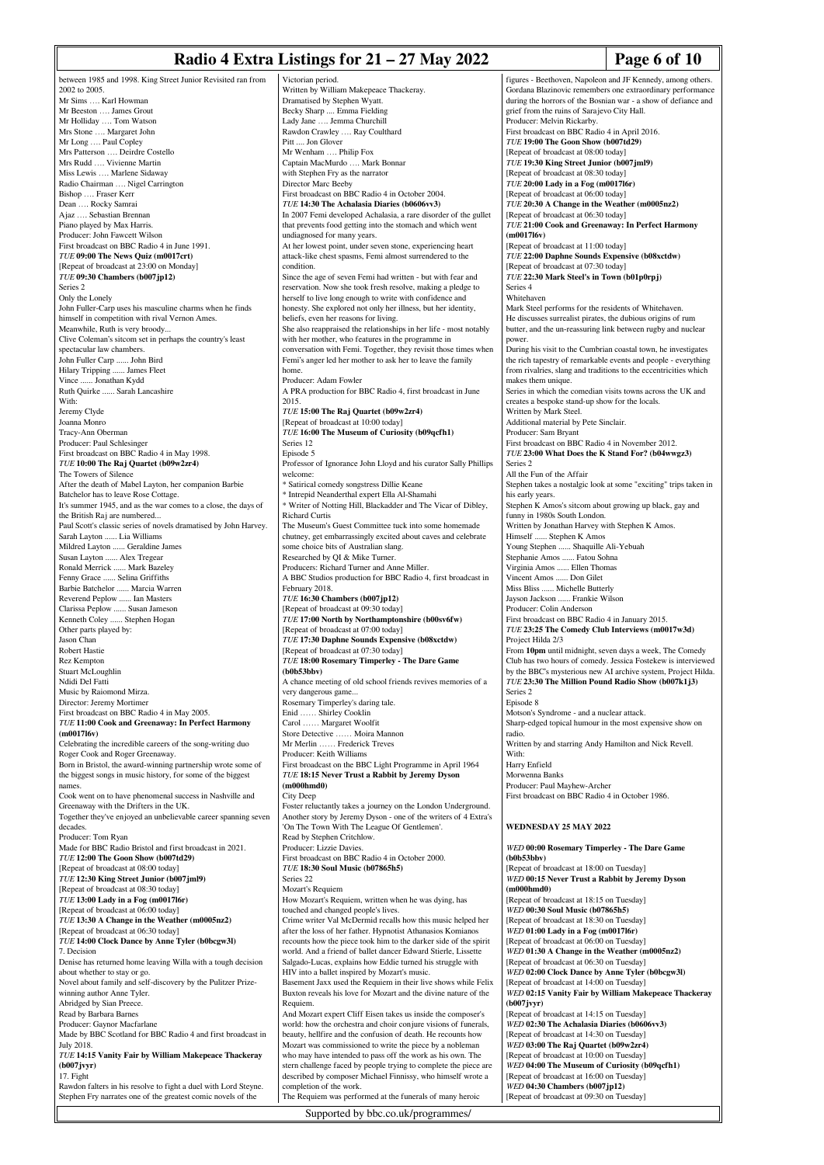#### **Radio 4 Extra Listings for 21 – 27 May 2022** Page 6 of 10

between 1985 and 1998. King Street Junior Revisited ran from 2002 to 2005. Mr Sims …. Karl Howman Mr Beeston …. James Grout Mr Holliday …. Tom Watson Mrs Stone …. Margaret John Mr Long …. Paul Copley Mrs Patterson …. Deirdre Costello Mrs Rudd …. Vivienne Martin Miss Lewis …. Marlene Sidaway Radio Chairman …. Nigel Carrington Bishop …. Fraser Kerr Dean …. Rocky Samrai Ajaz …. Sebastian Brennan Piano played by Max Harris. Producer: John Fawcett Wilson First broadcast on BBC Radio 4 in June 1991. *TUE* **09:00 The News Quiz (m0017crt)** [Repeat of broadcast at 23:00 on Monday] *TUE* **09:30 Chambers (b007jp12)** Series 2 Only the Lonely John Fuller-Carp uses his masculine charms when he finds himself in competition with rival Vernon Ames. Meanwhile, Ruth is very broody... Clive Coleman's sitcom set in perhaps the country's least spectacular law chambers. John Fuller Carp ...... John Bird Hilary Tripping ...... James Fleet Vince ...... Jonathan Kydd Ruth Quirke ...... Sarah Lancashire With: Jeremy Clyde Joanna Monro Tracy-Ann Oberman Producer: Paul Schlesinger First broadcast on BBC Radio 4 in May 1998. *TUE* **10:00 The Raj Quartet (b09w2zr4)** The Towers of Silence After the death of Mabel Layton, her companion Barbie Batchelor has to leave Rose Cottage. It's summer 1945, and as the war comes to a close, the days of the British Raj are numbered... Paul Scott's classic series of novels dramatised by John Harvey. Sarah Layton ...... Lia Williams Mildred Layton ...... Geraldine James Susan Layton ...... Alex Tregear Ronald Merrick ...... Mark Bazeley Fenny Grace ...... Selina Griffiths Barbie Batchelor ...... Marcia Warren Reverend Peplow ...... Ian Masters Clarissa Peplow ...... Susan Jameson Kenneth Coley ...... Stephen Hogan Other parts played by: Jason Chan Robert Hastie Rez Kempton Stuart McLoughlin Ndidi Del Fatti Music by Raiomond Mirza. Director: Jeremy Mortimer First broadcast on BBC Radio 4 in May 2005. *TUE* **11:00 Cook and Greenaway: In Perfect Harmony (m0017l6v)** Celebrating the incredible careers of the song-writing duo Roger Cook and Roger Greenaway. Born in Bristol, the award-winning partnership wrote some of the biggest songs in music history, for some of the biggest names. Cook went on to have phenomenal success in Nashville and Greenaway with the Drifters in the UK. Together they've enjoyed an unbelievable career spanning seven decades. Producer: Tom Ryan Made for BBC Radio Bristol and first broadcast in 2021. *TUE* **12:00 The Goon Show (b007td29)** [Repeat of broadcast at 08:00 today] *TUE* **12:30 King Street Junior (b007jml9)** [Repeat of broadcast at 08:30 today] *TUE* **13:00 Lady in a Fog (m0017l6r)** [Repeat of broadcast at 06:00 today] *TUE* **13:30 A Change in the Weather (m0005nz2)** [Repeat of broadcast at 06:30 today] *TUE* **14:00 Clock Dance by Anne Tyler (b0bcgw3l)** 7. Decision Denise has returned home leaving Willa with a tough decision about whether to stay or go. Novel about family and self-discovery by the Pulitzer Prizewinning author Anne Tyler. Abridged by Sian Preece. Read by Barbara Barnes Producer: Gaynor Macfarlane Made by BBC Scotland for BBC Radio 4 and first broadcast in July 2018. *TUE* **14:15 Vanity Fair by William Makepeace Thackeray (b007jvyr)** 17. Fight Rawdon falters in his resolve to fight a duel with Lord Steyne. Stephen Fry narrates one of the greatest comic novels of the

Victorian period. Written by William Makepeace Thackeray. Dramatised by Stephen Wyatt. Becky Sharp .... Emma Fielding Lady Jane …. Jemma Churchill Rawdon Crawley …. Ray Coulthard Pitt .... Jon Glover Mr Wenham …. Philip Fox Captain MacMurdo …. Mark Bonnar with Stephen Fry as the narrator Director Marc Beeby First broadcast on BBC Radio 4 in October 2004. *TUE* **14:30 The Achalasia Diaries (b0606vv3)** In 2007 Femi developed Achalasia, a rare disorder of the gullet that prevents food getting into the stomach and which went undiagnosed for many years. At her lowest point, under seven stone, experiencing heart attack-like chest spasms, Femi almost surrendered to the condition. Since the age of seven Femi had written - but with fear and reservation. Now she took fresh resolve, making a pledge to herself to live long enough to write with confidence and honesty. She explored not only her illness, but her identity, beliefs, even her reasons for living. She also reappraised the relationships in her life - most notably with her mother, who features in the programme in conversation with Femi. Together, they revisit those times when Femi's anger led her mother to ask her to leave the family home. Producer: Adam Fowler A PRA production for BBC Radio 4, first broadcast in June 2015. *TUE* **15:00 The Raj Quartet (b09w2zr4)** [Repeat of broadcast at 10:00 today] *TUE* **16:00 The Museum of Curiosity (b09qcfh1)** Series 12 Episode 5 Professor of Ignorance John Lloyd and his curator Sally Phillips welcome: \* Satirical comedy songstress Dillie Keane \* Intrepid Neanderthal expert Ella Al-Shamahi Writer of Notting Hill, Blackadder and The Vicar of Dibley, Richard Curtis The Museum's Guest Committee tuck into some homemade chutney, get embarrassingly excited about caves and celebrate some choice bits of Australian slang. Researched by QI & Mike Turner. Producers: Richard Turner and Anne Miller. A BBC Studios production for BBC Radio 4, first broadcast in February 2018. *TUE* **16:30 Chambers (b007jp12)** [Repeat of broadcast at 09:30 today] *TUE* **17:00 North by Northamptonshire (b00sv6fw)** [Repeat of broadcast at 07:00 today] *TUE* **17:30 Daphne Sounds Expensive (b08xctdw)** [Repeat of broadcast at 07:30 today] *TUE* **18:00 Rosemary Timperley - The Dare Game (b0b53bbv)** A chance meeting of old school friends revives memories of a very dangerous game. Rosemary Timperley's daring tale. Enid …… Shirley Cooklin Carol …… Margaret Woolfit Store Detective …… Moira Mannon Mr Merlin …… Frederick Treves Producer: Keith Williams First broadcast on the BBC Light Programme in April 1964 *TUE* **18:15 Never Trust a Rabbit by Jeremy Dyson (m000hmd0)** City Deep Foster reluctantly takes a journey on the London Underground. Another story by Jeremy Dyson - one of the writers of 4 Extra's 'On The Town With The League Of Gentlemen'. Read by Stephen Critchlow. Producer: Lizzie Davies. First broadcast on BBC Radio 4 in October 2000. *TUE* **18:30 Soul Music (b07865h5)** Series 22 Mozart's Requiem How Mozart's Requiem, written when he was dying, has touched and changed people's lives. Crime writer Val McDermid recalls how this music helped her after the loss of her father. Hypnotist Athanasios Komianos recounts how the piece took him to the darker side of the spirit world. And a friend of ballet dancer Edward Stierle, Lissette Salgado-Lucas, explains how Eddie turned his struggle with HIV into a ballet inspired by Mozart's music. Basement Jaxx used the Requiem in their live shows while Felix Buxton reveals his love for Mozart and the divine nature of the Requiem. And Mozart expert Cliff Eisen takes us inside the composer's world: how the orchestra and choir conjure visions of funerals, beauty, hellfire and the confusion of death. He recounts how Mozart was commissioned to write the piece by a nobleman who may have intended to pass off the work as his own. The stern challenge faced by people trying to complete the piece are described by composer Michael Finnissy, who himself wrote a completion of the work.

The Requiem was performed at the funerals of many heroic

Supported by bbc.co.uk/programmes/

figures - Beethoven, Napoleon and JF Kennedy, among others. Gordana Blazinovic remembers one extraordinary performance during the horrors of the Bosnian war - a show of defiance and grief from the ruins of Sarajevo City Hall. Producer: Melvin Rickarby. First broadcast on BBC Radio 4 in April 2016. *TUE* **19:00 The Goon Show (b007td29)** [Repeat of broadcast at 08:00 today] *TUE* **19:30 King Street Junior (b007jml9)** [Repeat of broadcast at 08:30 today] *TUE* **20:00 Lady in a Fog (m0017l6r)** [Repeat of broadcast at 06:00 today] *TUE* **20:30 A Change in the Weather (m0005nz2)** [Repeat of broadcast at 06:30 today] *TUE* **21:00 Cook and Greenaway: In Perfect Harmony (m0017l6v)** [Repeat of broadcast at 11:00 today] *TUE* **22:00 Daphne Sounds Expensive (b08xctdw)** [Repeat of broadcast at 07:30 today] *TUE* **22:30 Mark Steel's in Town (b01p0rpj)** Series 4 Whitehaven Mark Steel performs for the residents of Whitehaven. He discusses surrealist pirates, the dubious origins of rum butter, and the un-reassuring link between rugby and nuclear power. During his visit to the Cumbrian coastal town, he investigates the rich tapestry of remarkable events and people - everything from rivalries, slang and traditions to the eccentricities which makes them unique. Series in which the comedian visits towns across the UK and creates a bespoke stand-up show for the locals. Written by Mark Steel. Additional material by Pete Sinclair. Producer: Sam Bryant First broadcast on BBC Radio 4 in November 2012. *TUE* **23:00 What Does the K Stand For? (b04wwgz3)** Series 2 All the Fun of the Affair Stephen takes a nostalgic look at some "exciting" trips taken in his early years. Stephen K Amos's sitcom about growing up black, gay and funny in 1980s South London. Written by Jonathan Harvey with Stephen K Amos. Himself ...... Stephen K Amos Young Stephen ...... Shaquille Ali-Yebuah Stephanie Amos ..... Fatou Sohna Virginia Amos ...... Ellen Thomas Vincent Amos ...... Don Gilet Miss Bliss ..... Michelle Butterly Jayson Jackson ...... Frankie Wilson Producer: Colin Anderson First broadcast on BBC Radio 4 in January 2015. *TUE* **23:25 The Comedy Club Interviews (m0017w3d)** Project Hilda 2/3 From **10pm** until midnight, seven days a week, The Comedy Club has two hours of comedy. Jessica Fostekew is interviewed by the BBC's mysterious new AI archive system, Project Hilda. *TUE* **23:30 The Million Pound Radio Show (b007k1j3)** Series 2 Episode 8 Motson's Syndrome - and a nuclear attack. Sharp-edged topical humour in the most expensive show on radio. Written by and starring Andy Hamilton and Nick Revell. With: Harry Enfield Morwenna Banks Producer: Paul Mayhew-Archer First broadcast on BBC Radio 4 in October 1986. **WEDNESDAY 25 MAY 2022** *WED* **00:00 Rosemary Timperley - The Dare Game (b0b53bbv)** [Repeat of broadcast at 18:00 on Tuesday] *WED* **00:15 Never Trust a Rabbit by Jeremy Dyson (m000hmd0)** [Repeat of broadcast at 18:15 on Tuesday] *WED* **00:30 Soul Music (b07865h5)** [Repeat of broadcast at 18:30 on Tuesday] *WED* **01:00 Lady in a Fog (m0017l6r)** [Repeat of broadcast at 06:00 on Tuesday] *WED* **01:30 A Change in the Weather (m0005nz2)** [Repeat of broadcast at 06:30 on Tuesday] *WED* **02:00 Clock Dance by Anne Tyler (b0bcgw3l)** [Repeat of broadcast at 14:00 on Tuesday] *WED* **02:15 Vanity Fair by William Makepeace Thackeray (b007jvyr)** [Repeat of broadcast at 14:15 on Tuesday] *WED* **02:30 The Achalasia Diaries (b0606vv3)** [Repeat of broadcast at 14:30 on Tuesday] *WED* **03:00 The Raj Quartet (b09w2zr4)** [Repeat of broadcast at 10:00 on Tuesday] *WED* **04:00 The Museum of Curiosity (b09qcfh1)** [Repeat of broadcast at 16:00 on Tuesday]

*WED* **04:30 Chambers (b007jp12)** [Repeat of broadcast at 09:30 on Tuesday]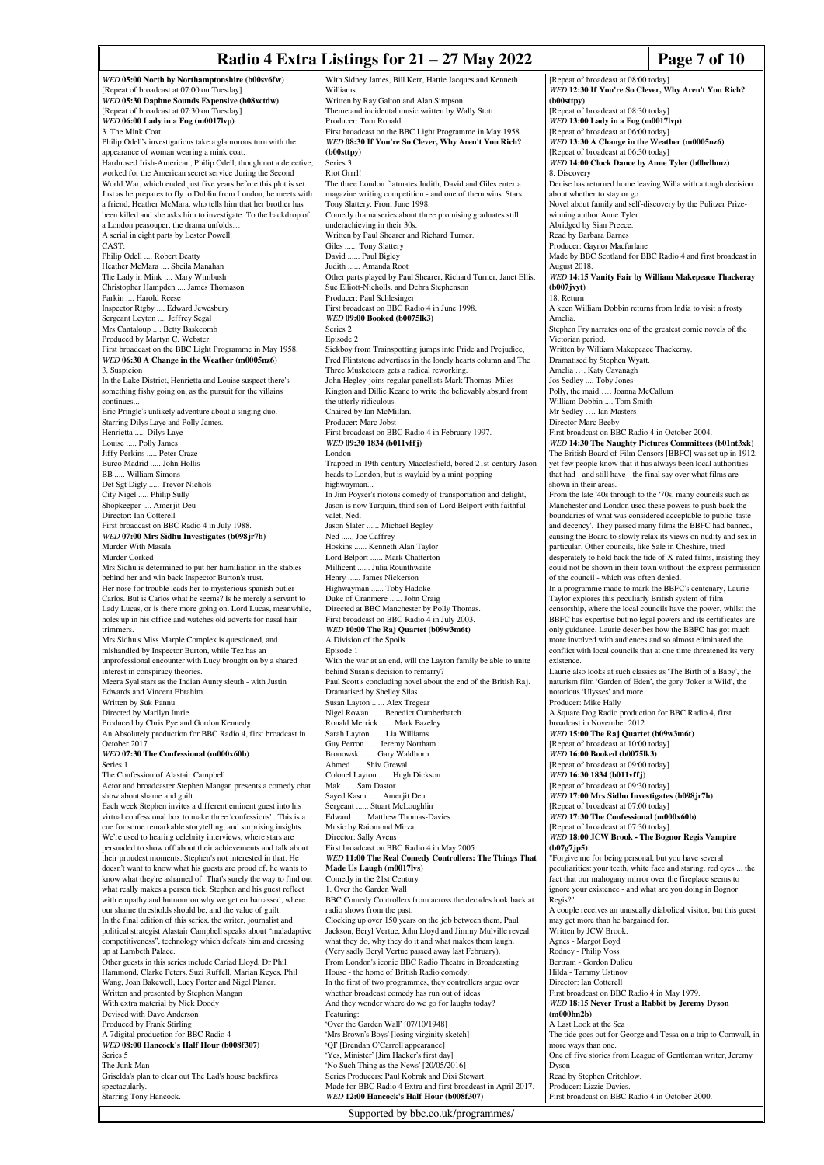# **Radio 4 Extra Listings for 21 – 27 May 2022** Page 7 of 10

*WED* **05:00 North by Northamptonshire (b00sv6fw)** [Repeat of broadcast at 07:00 on Tuesday] *WED* **05:30 Daphne Sounds Expensive (b08xctdw)** [Repeat of broadcast at 07:30 on Tuesday] *WED* **06:00 Lady in a Fog (m0017lvp)** 3. The Mink Coat Philip Odell's investigations take a glamorous turn with the appearance of woman wearing a mink coat. Hardnosed Irish-American, Philip Odell, though not a detective, worked for the American secret service during the Second World War, which ended just five years before this plot is set. Just as he prepares to fly to Dublin from London, he meets with a friend, Heather McMara, who tells him that her brother has been killed and she asks him to investigate. To the backdrop of a London peasouper, the drama unfolds… A serial in eight parts by Lester Powell. CAST: Philip Odell .... Robert Beatty Heather McMara .... Sheila Manahan The Lady in Mink .... Mary Wimbush Christopher Hampden .... James Thomason Parkin .... Harold Reese Inspector Rtgby .... Edward Jewesbury Sergeant Leyton .... Jeffrey Segal Mrs Cantaloup .... Betty Baskcomb Produced by Martyn C. Webster First broadcast on the BBC Light Programme in May 1958. *WED* **06:30 A Change in the Weather (m0005nz6)** 3. Suspicion In the Lake District, Henrietta and Louise suspect there's something fishy going on, as the pursuit for the villains continues Eric Pringle's unlikely adventure about a singing duo. Starring Dilys Laye and Polly James. Henrietta ..... Dilys Laye Louise ..... Polly James Jiffy Perkins ..... Peter Craze Burco Madrid ..... John Hollis BB ..... William Simons Det Sgt Digly ..... Trevor Nichols City Nigel ..... Philip Sully Shopkeeper .... Amerjit Deu Director: Ian Cotterell First broadcast on BBC Radio 4 in July 1988. *WED* **07:00 Mrs Sidhu Investigates (b098jr7h)** Murder With Masala Murder Corked Mrs Sidhu is determined to put her humiliation in the stables behind her and win back Inspector Burton's trust. Her nose for trouble leads her to mysterious spanish butler Carlos. But is Carlos what he seems? Is he merely a servant to Lady Lucas, or is there more going on. Lord Lucas, meanwhile, holes up in his office and watches old adverts for nasal hair trimmers. Mrs Sidhu's Miss Marple Complex is questioned, and mishandled by Inspector Burton, while Tez has an unprofessional encounter with Lucy brought on by a shared interest in conspiracy theories. Meera Syal stars as the Indian Aunty sleuth - with Justin Edwards and Vincent Ebrahim. Written by Suk Pannu Directed by Marilyn Imrie Produced by Chris Pye and Gordon Kennedy An Absolutely production for BBC Radio 4, first broadcast in October 2017. *WED* **07:30 The Confessional (m000x60b)** Series 1 The Confession of Alastair Campbell Actor and broadcaster Stephen Mangan presents a comedy chat show about shame and guilt. Each week Stephen invites a different eminent guest into his virtual confessional box to make three 'confessions' . This is a cue for some remarkable storytelling, and surprising insights. We're used to hearing celebrity interviews, where stars are persuaded to show off about their achievements and talk about their proudest moments. Stephen's not interested in that. He doesn't want to know what his guests are proud of, he wants to know what they're ashamed of. That's surely the way to find out what really makes a person tick. Stephen and his guest reflect with empathy and humour on why we get embarrassed, where our shame thresholds should be, and the value of guilt. In the final edition of this series, the writer, journalist and political strategist Alastair Campbell speaks about "maladaptive competitiveness", technology which defeats him and dressing up at Lambeth Palace. Other guests in this series include Cariad Lloyd, Dr Phil Hammond, Clarke Peters, Suzi Ruffell, Marian Keyes, Phil Wang, Joan Bakewell, Lucy Porter and Nigel Planer. Written and presented by Stephen Mangan With extra material by Nick Doody Devised with Dave Anderson Produced by Frank Stirling A 7digital production for BBC Radio 4 *WED* **08:00 Hancock's Half Hour (b008f307)** Series 5 The Junk Man Griselda's plan to clear out The Lad's house backfires spectacularly. Starring Tony Hancock. With Sidney James, Bill Kerr, Hattie Jacques and Kenneth Williams. Written by Ray Galton and Alan Simpson. Theme and incidental music written by Wally Stott. Producer: Tom Ronald First broadcast on the BBC Light Programme in May 1958. *WED* **08:30 If You're So Clever, Why Aren't You Rich? (b00sttpy)** Series 3 Riot Grrrl! The three London flatmates Judith, David and Giles enter a magazine writing competition - and one of them wins. Stars Tony Slattery. From June 1998. Comedy drama series about three promising graduates still underachieving in their 30s. Written by Paul Shearer and Richard Turner. Giles ...... Tony Slattery David ...... Paul Bigley Judith ...... Amanda Root Other parts played by Paul Shearer, Richard Turner, Janet Ellis, Sue Elliott-Nicholls, and Debra Stephenson Producer: Paul Schlesinger First broadcast on BBC Radio 4 in June 1998. *WED* **09:00 Booked (b0075lk3)** Series 2 Episode 2 Sickboy from Trainspotting jumps into Pride and Prejudice, Fred Flintstone advertises in the lonely hearts column and The Three Musketeers gets a radical reworking. John Hegley joins regular panellists Mark Thomas. Miles Kington and Dillie Keane to write the believably absurd from the utterly ridiculous. Chaired by Ian McMillan. Producer: Marc Jobst First broadcast on BBC Radio 4 in February 1997. *WED* **09:30 1834 (b011vffj)** London Trapped in 19th-century Macclesfield, bored 21st-century Jason heads to London, but is waylaid by a mint-popping highwayman In Jim Poyser's riotous comedy of transportation and delight, Jason is now Tarquin, third son of Lord Belport with faithful valet, Ned. Jason Slater ...... Michael Begley Ned ...... Joe Caffrey Hoskins ...... Kenneth Alan Taylor Lord Belport ...... Mark Chatterton Millicent ...... Julia Rounthwaite Henry ...... James Nickerson Highwayman ...... Toby Hadoke Duke of Cranmere ...... John Craig Directed at BBC Manchester by Polly Thomas. First broadcast on BBC Radio 4 in July 2003. *WED* **10:00 The Raj Quartet (b09w3m6t)** A Division of the Spoils Episode 1 With the war at an end, will the Layton family be able to unite behind Susan's decision to remarry? Paul Scott's concluding novel about the end of the British Raj. Dramatised by Shelley Silas. Susan Layton ...... Alex Tregear Nigel Rowan ...... Benedict Cumberbatch Ronald Merrick ...... Mark Bazeley Sarah Layton ...... Lia Williams Guy Perron ...... Jeremy Northam Bronowski ...... Gary Waldhorn Ahmed ...... Shiv Grewal Colonel Layton ...... Hugh Dickson Mak ...... Sam Dastor Sayed Kasm ...... Amerjit Deu Sergeant ...... Stuart McLoughlin Edward ...... Matthew Thomas-Davies Music by Raiomond Mirza. Director: Sally Avens First broadcast on BBC Radio 4 in May 2005. *WED* **11:00 The Real Comedy Controllers: The Things That Made Us Laugh (m0017lvs)** Comedy in the 21st Century 1. Over the Garden Wall BBC Comedy Controllers from across the decades look back at radio shows from the past. Clocking up over 150 years on the job between them, Paul Jackson, Beryl Vertue, John Lloyd and Jimmy Mulville reveal what they do, why they do it and what makes them laugh. (Very sadly Beryl Vertue passed away last February). From London's iconic BBC Radio Theatre in Broadcasting House - the home of British Radio comedy. In the first of two programmes, they controllers argue over whether broadcast comedy has run out of ideas And they wonder where do we go for laughs today? Featuring: 'Over the Garden Wall' [07/10/1948] 'Mrs Brown's Boys' [losing virginity sketch] 'QI' [Brendan O'Carroll appearance] 'Yes, Minister' [Jim Hacker's first day] 'No Such Thing as the News' [20/05/2016] Series Producers: Paul Kobrak and Dixi Stewart. Made for BBC Radio 4 Extra and first broadcast in April 2017. *WED* **12:00 Hancock's Half Hour (b008f307)** [Repeat of broadcast at 08:00 today] *WED* **12:30 If You're So Clever, Why Aren't You Rich?** Producer: Lizzie Davies.

**(b00sttpy)** [Repeat of broadcast at 08:30 today] *WED* **13:00 Lady in a Fog (m0017lvp)** [Repeat of broadcast at 06:00 today] *WED* **13:30 A Change in the Weather (m0005nz6)** [Repeat of broadcast at 06:30 today] *WED* **14:00 Clock Dance by Anne Tyler (b0bclbmz)** 8. Discovery Denise has returned home leaving Willa with a tough decision about whether to stay or go. Novel about family and self-discovery by the Pulitzer Prizewinning author Anne Tyler. Abridged by Sian Preece. Read by Barbara Barnes Producer: Gaynor Macfarlane Made by BBC Scotland for BBC Radio 4 and first broadcast in August 2018. *WED* **14:15 Vanity Fair by William Makepeace Thackeray (b007jvyt)** 18. Return A keen William Dobbin returns from India to visit a frosty Amelia. Stephen Fry narrates one of the greatest comic novels of the Victorian period. Written by William Makepeace Thackeray. Dramatised by Stephen Wyatt. Amelia …. Katy Cavanagh Jos Sedley .... Toby Jones Polly, the maid …. Joanna McCallum William Dobbin .... Tom Smith Mr Sedley …. Ian Masters Director Marc Beeby First broadcast on BBC Radio 4 in October 2004. *WED* **14:30 The Naughty Pictures Committees (b01nt3xk)** The British Board of Film Censors [BBFC] was set up in 1912, yet few people know that it has always been local authorities that had - and still have - the final say over what films are shown in their areas. From the late '40s through to the '70s, many councils such as Manchester and London used these powers to push back the boundaries of what was considered acceptable to public 'taste and decency'. They passed many films the BBFC had banned, causing the Board to slowly relax its views on nudity and sex in particular. Other councils, like Sale in Cheshire, tried desperately to hold back the tide of X-rated films, insisting they could not be shown in their town without the express permission of the council - which was often denied. In a programme made to mark the BBFC's centenary, Laurie Taylor explores this peculiarly British system of film censorship, where the local councils have the power, whilst the BBFC has expertise but no legal powers and its certificates are only guidance. Laurie describes how the BBFC has got much more involved with audiences and so almost eliminated the conflict with local councils that at one time threatened its very existence. Laurie also looks at such classics as 'The Birth of a Baby', the naturism film 'Garden of Eden', the gory 'Joker is Wild', the notorious 'Ulysses' and more. Producer: Mike Hally A Square Dog Radio production for BBC Radio 4, first broadcast in November 2012. *WED* **15:00 The Raj Quartet (b09w3m6t)** [Repeat of broadcast at 10:00 today] *WED* **16:00 Booked (b0075lk3)** [Repeat of broadcast at 09:00 today] *WED* **16:30 1834 (b011vffj)** [Repeat of broadcast at 09:30 today] *WED* **17:00 Mrs Sidhu Investigates (b098jr7h)** [Repeat of broadcast at 07:00 today] *WED* **17:30 The Confessional (m000x60b)** [Repeat of broadcast at 07:30 today] *WED* **18:00 JCW Brook - The Bognor Regis Vampire (b07g7jp5)** "Forgive me for being personal, but you have several" peculiarities: your teeth, white face and staring, red eyes ... the fact that our mahogany mirror over the fireplace seems to ignore your existence - and what are you doing in Bognor Regis?" A couple receives an unusually diabolical visitor, but this guest may get more than he bargained for. Written by JCW Brook Agnes - Margot Boyd Rodney - Philip Voss Bertram - Gordon Dulieu Hilda - Tammy Ustinov Director: Ian Cotterell First broadcast on BBC Radio 4 in May 1979. *WED* **18:15 Never Trust a Rabbit by Jeremy Dyson (m000hn2b)** A Last Look at the Sea The tide goes out for George and Tessa on a trip to Cornwall, in more ways than one. One of five stories from League of Gentleman writer, Jeremy Dyson Read by Stephen Critchlow.

First broadcast on BBC Radio 4 in October 2000.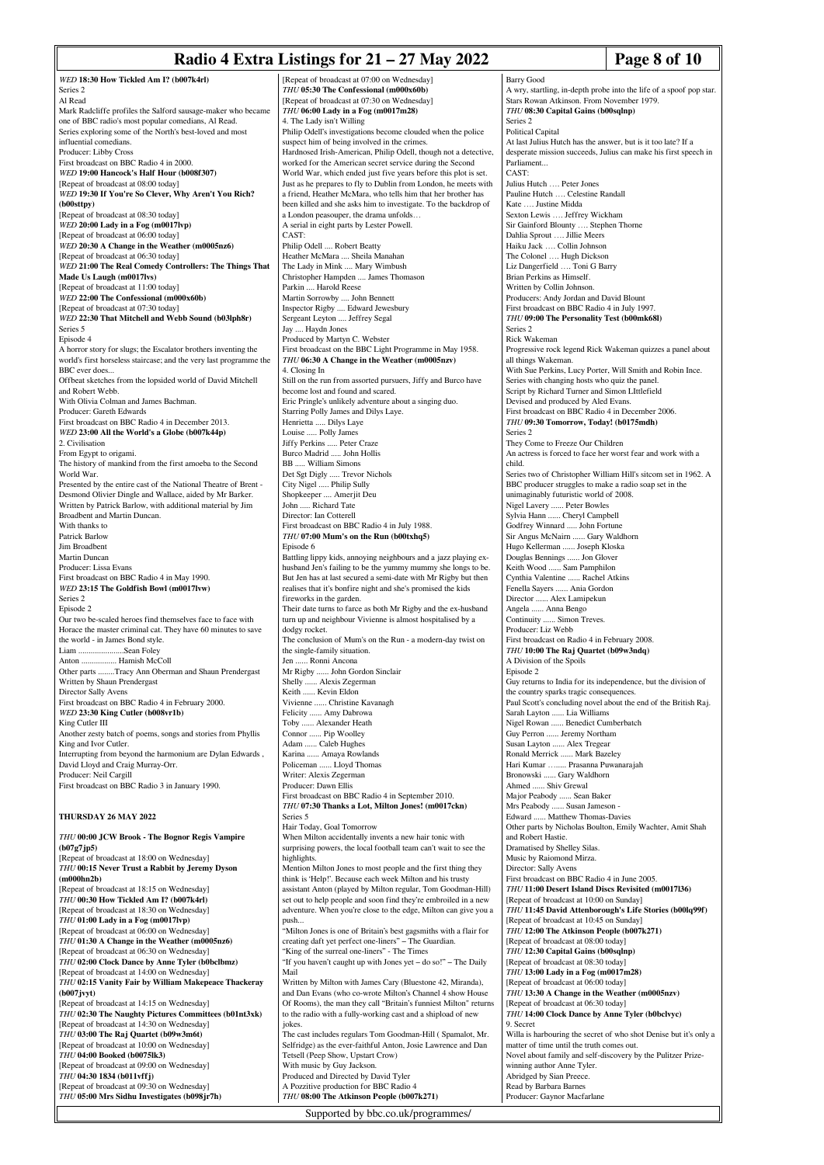#### **Radio 4 Extra Listings for 21 – 27 May 2022** Page 8 of 10

*WED* **18:30 How Tickled Am I? (b007k4rl)** Series 2 Al Read Mark Radcliffe profiles the Salford sausage-maker who became one of BBC radio's most popular comedians, Al Read. Series exploring some of the North's best-loved and most influential comedians. Producer: Libby Cross First broadcast on BBC Radio 4 in 2000. *WED* **19:00 Hancock's Half Hour (b008f307)** [Repeat of broadcast at 08:00 today] *WED* **19:30 If You're So Clever, Why Aren't You Rich? (b00sttpy)** [Repeat of broadcast at 08:30 today] *WED* **20:00 Lady in a Fog (m0017lvp)** [Repeat of broadcast at 06:00 today] *WED* **20:30 A Change in the Weather (m0005nz6)** [Repeat of broadcast at 06:30 today] *WED* **21:00 The Real Comedy Controllers: The Things That Made Us Laugh (m0017lvs)** [Repeat of broadcast at 11:00 today] *WED* **22:00 The Confessional (m000x60b)** [Repeat of broadcast at 07:30 today] *WED* **22:30 That Mitchell and Webb Sound (b03lph8r)** Series 5 Episode 4 A horror story for slugs; the Escalator brothers inventing the world's first horseless staircase; and the very last programme the BBC ever does... Offbeat sketches from the lopsided world of David Mitchell and Robert Webb. With Olivia Colman and James Bachman. Producer: Gareth Edwards First broadcast on BBC Radio 4 in December 2013. *WED* **23:00 All the World's a Globe (b007k44p)** 2. Civilisation From Egypt to origami. The history of mankind from the first amoeba to the Second World War. Presented by the entire cast of the National Theatre of Brent - Desmond Olivier Dingle and Wallace, aided by Mr Barker. Written by Patrick Barlow, with additional material by Jim Broadbent and Martin Duncan. With thanks to Patrick Barlow Jim Broadbent Martin Duncan Producer: Lissa Evans First broadcast on BBC Radio 4 in May 1990. *WED* **23:15 The Goldfish Bowl (m0017lvw)** Series 2 Episode 2 Our two be-scaled heroes find themselves face to face with Horace the master criminal cat. They have 60 minutes to save the world - in James Bond style. Liam ......................Sean Foley Anton ................. Hamish McColl Other parts ........Tracy Ann Oberman and Shaun Prendergast Written by Shaun Prendergast Director Sally Avens First broadcast on BBC Radio 4 in February 2000. *WED* **23:30 King Cutler (b008vr1b)** King Cutler III Another zesty batch of poems, songs and stories from Phyllis King and Ivor Cutler. Interrupting from beyond the harmonium are Dylan Edwards, David Lloyd and Craig Murray-Orr. Producer: Neil Cargill First broadcast on BBC Radio 3 in January 1990. **THURSDAY 26 MAY 2022** *THU* **00:00 JCW Brook - The Bognor Regis Vampire (b07g7jp5)** [Repeat of broadcast at 18:00 on Wednesday] *THU* **00:15 Never Trust a Rabbit by Jeremy Dyson (m000hn2b)**  $[Repeat of broadcast at 18:15 on Wednesday]$ *THU* **00:30 How Tickled Am I? (b007k4rl)** [Repeat of broadcast at 18:30 on Wednesday] *THU* **01:00 Lady in a Fog (m0017lvp)** [Repeat of broadcast at 06:00 on Wednesday] *THU* **01:30 A Change in the Weather (m0005nz6)** [Repeat of broadcast at 06:30 on Wednesday] *THU* **02:00 Clock Dance by Anne Tyler (b0bclbmz)** [Repeat of broadcast at 14:00 on Wednesday] *THU* **02:15 Vanity Fair by William Makepeace Thackeray (b007jvyt)** [Repeat of broadcast at 14:15 on Wednesday] *THU* **02:30 The Naughty Pictures Committees (b01nt3xk)** [Repeat of broadcast at 14:30 on Wednesday] *THU* **03:00 The Raj Quartet (b09w3m6t)** [Repeat of broadcast at 10:00 on Wednesday]

*THU* **04:00 Booked (b0075lk3)** [Repeat of broadcast at 09:00 on Wednesday] *THU* **04:30 1834 (b011vffj)** [Repeat of broadcast at 09:30 on Wednesday] *THU* **05:00 Mrs Sidhu Investigates (b098jr7h)**

[Repeat of broadcast at 07:00 on Wednesday] *THU* **05:30 The Confessional (m000x60b)** [Repeat of broadcast at 07:30 on Wednesday] *THU* **06:00 Lady in a Fog (m0017m28)** 4. The Lady isn't Willing Philip Odell's investigations become clouded when the police suspect him of being involved in the crimes. Hardnosed Irish-American, Philip Odell, though not a detective, worked for the American secret service during the Second World War, which ended just five years before this plot is set. Just as he prepares to fly to Dublin from London, he meets with a friend, Heather McMara, who tells him that her brother has been killed and she asks him to investigate. To the backdrop of a London peasouper, the drama unfolds… A serial in eight parts by Lester Powell. CAST: Philip Odell .... Robert Beatty Heather McMara .... Sheila Manahan The Lady in Mink .... Mary Wimbush Christopher Hampden .... James Thomason Parkin .... Harold Reese Martin Sorrowby .... John Bennett Inspector Rigby .... Edward Jewesbury Sergeant Leyton .... Jeffrey Segal Jay .... Haydn Jones Produced by Martyn C. Webster First broadcast on the BBC Light Programme in May 1958. *THU* **06:30 A Change in the Weather (m0005nzv)** 4. Closing In Still on the run from assorted pursuers, Jiffy and Burco have become lost and found and scared. Eric Pringle's unlikely adventure about a singing duo. Starring Polly James and Dilys Laye. Henrietta ..... Dilys Laye Louise ..... Polly James Jiffy Perkins ..... Peter Craze Burco Madrid ..... John Hollis BB ..... William Simons Det Sgt Digly ..... Trevor Nichols City Nigel ..... Philip Sully Shopkeeper .... Amerjit Deu John ..... Richard Tate Director: Ian Cotterell First broadcast on BBC Radio 4 in July 1988. *THU* **07:00 Mum's on the Run (b00txhq5)** Episode 6 Battling lippy kids, annoying neighbours and a jazz playing exhusband Jen's failing to be the yummy mummy she longs to be. But Jen has at last secured a semi-date with Mr Rigby but then realises that it's bonfire night and she's promised the kids fireworks in the garden. Their date turns to farce as both Mr Rigby and the ex-husband turn up and neighbour Vivienne is almost hospitalised by a dodgy rocket. The conclusion of Mum's on the Run - a modern-day twist on the single-family situation. Jen ...... Ronni Ancona Mr Rigby ...... John Gordon Sinclair Shelly ...... Alexis Zegerman Keith ...... Kevin Eldon Vivienne ...... Christine Kavanagh Felicity ...... Amy Dabrowa Toby ...... Alexander Heath Connor ...... Pip Woolley Adam ...... Caleb Hughes Karina ...... Amaya Rowlands Policeman ...... Lloyd Thomas Writer: Alexis Zegerman Producer: Dawn Ellis First broadcast on BBC Radio 4 in September 2010. *THU* **07:30 Thanks a Lot, Milton Jones! (m0017ckn)** Series 5 Hair Today, Goal Tomorrow When Milton accidentally invents a new hair tonic with surprising powers, the local football team can't wait to see the highlights. Mention Milton Jones to most people and the first thing they think is 'Help!'. Because each week Milton and his trusty assistant Anton (played by Milton regular, Tom Goodman-Hill) set out to help people and soon find they're embroiled in a new adventure. When you're close to the edge, Milton can give you a push... "Milton Jones is one of Britain's best gagsmiths with a flair for creating daft yet perfect one-liners" – The Guardian. "King of the surreal one-liners" - The Times "If you haven't caught up with Jones yet – do so!" – The Daily Mail Written by Milton with James Cary (Bluestone 42, Miranda), and Dan Evans (who co-wrote Milton's Channel 4 show House Of Rooms), the man they call "Britain's funniest Milton" returns to the radio with a fully-working cast and a shipload of new jokes. The cast includes regulars Tom Goodman-Hill ( Spamalot, Mr. Selfridge) as the ever-faithful Anton, Josie Lawrence and Dan Tetsell (Peep Show, Upstart Crow) With music by Guy Jackson. Produced and Directed by David Tyler A Pozzitive production for BBC Radio 4 *THU* **08:00 The Atkinson People (b007k271)**

Supported by bbc.co.uk/programmes/

CAST: Julius Hutch …. Peter Jones Pauline Hutch …. Celestine Randall Kate …. Justine Midda Sexton Lewis …. Jeffrey Wickham Sir Gainford Blounty …. Stephen Thorne Dahlia Sprout …. Jillie Meers Haiku Jack …. Collin Johnson The Colonel …. Hugh Dickson Liz Dangerfield …. Toni G Barry Brian Perkins as Himself. Written by Collin Johnson. Producers: Andy Jordan and David Blount First broadcast on BBC Radio 4 in July 1997. *THU* **09:00 The Personality Test (b00mk68l)** Series 2 Rick Wakeman Progressive rock legend Rick Wakeman quizzes a panel about all things Wakema With Sue Perkins, Lucy Porter, Will Smith and Robin Ince. Series with changing hosts who quiz the panel. Script by Richard Turner and Simon LIttlefield Devised and produced by Aled Evans. First broadcast on BBC Radio 4 in December 2006. *THU* **09:30 Tomorrow, Today! (b0175mdh)** Series 2 They Come to Freeze Our Children An actress is forced to face her worst fear and work with a child. Series two of Christopher William Hill's sitcom set in 1962. A BBC producer struggles to make a radio soap set in the unimaginably futuristic world of 2008. Nigel Lavery ...... Peter Bowles Sylvia Hann ...... Cheryl Campbell Godfrey Winnard ..... John Fortune Sir Angus McNairn ...... Gary Waldhorn Hugo Kellerman ...... Joseph Kloska Douglas Bennings ...... Jon Glover Keith Wood ...... Sam Pamphilon Cynthia Valentine ...... Rachel Atkins Fenella Sayers ...... Ania Gordon Director ...... Alex Lamipekun Angela ...... Anna Bengo Continuity .... Simon Treves. Producer: Liz Webb First broadcast on Radio 4 in February 2008. *THU* **10:00 The Raj Quartet (b09w3ndq)** A Division of the Spoils Episode 2 Guy returns to India for its independence, but the division of the country sparks tragic consequences. Paul Scott's concluding novel about the end of the British Raj. Sarah Layton ...... Lia Williams Nigel Rowan ...... Benedict Cumberbatch Guy Perron ...... Jeremy Northam Susan Layton ...... Alex Tregear Ronald Merrick ...... Mark Bazeley Hari Kumar …..... Prasanna Puwanarajah Bronowski ...... Gary Waldhorn Ahmed ...... Shiv Grewal Major Peabody ...... Sean Baker Mrs Peabody ...... Susan Jameson - Edward ...... Matthew Thomas-Davies Other parts by Nicholas Boulton, Emily Wachter, Amit Shah and Robert Hastie. Dramatised by Shelley Silas. Music by Raiomond Mirza. Director: Sally Avens First broadcast on BBC Radio 4 in June 2005. *THU* **11:00 Desert Island Discs Revisited (m0017l36)** [Repeat of broadcast at 10:00 on Sunday] *THU* **11:45 David Attenborough's Life Stories (b00lq99f)** [Repeat of broadcast at 10:45 on Sunday] *THU* **12:00 The Atkinson People (b007k271)** [Repeat of broadcast at 08:00 today] *THU* **12:30 Capital Gains (b00sqlnp)** [Repeat of broadcast at 08:30 today] *THU* **13:00 Lady in a Fog (m0017m28)** [Repeat of broadcast at 06:00 today] *THU* **13:30 A Change in the Weather (m0005nzv)** [Repeat of broadcast at 06:30 today] *THU* **14:00 Clock Dance by Anne Tyler (b0bclvyc)** 9. Secret Willa is harbouring the secret of who shot Denise but it's only a matter of time until the truth comes out. Novel about family and self-discovery by the Pulitzer Prizewinning author Anne Tyler. Abridged by Sian Preece. Read by Barbara Barnes Producer: Gaynor Macfarlane

A wry, startling, in-depth probe into the life of a spoof pop star.

At last Julius Hutch has the answer, but is it too late? If a desperate mission succeeds, Julius can make his first speech in

Stars Rowan Atkinson. From November 1979. *THU* **08:30 Capital Gains (b00sqlnp)**

Barry Good

Series 2 Political Capital

Parliament...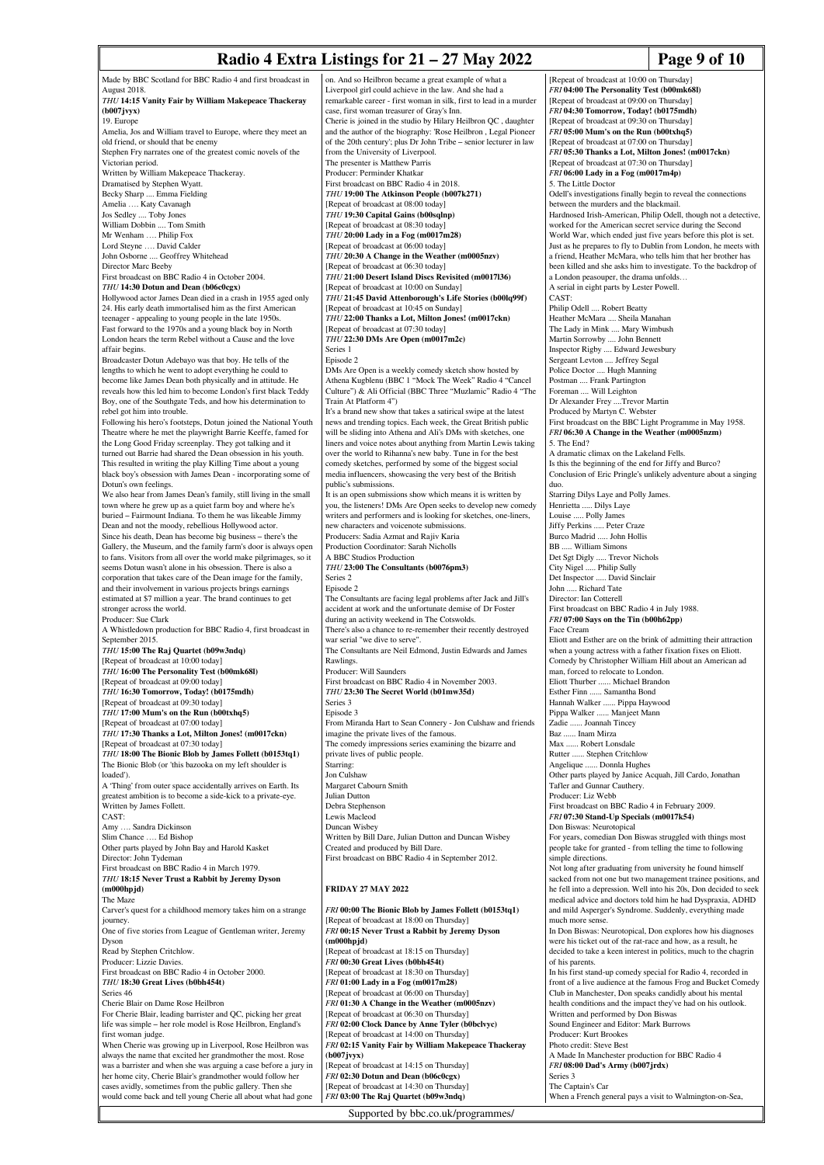## **Radio 4 Extra Listings for 21 – 27 May 2022** Page 9 of 10

Made by BBC Scotland for BBC Radio 4 and first broadcast in August 2018. *THU* **14:15 Vanity Fair by William Makepeace Thackeray (b007jvyx)** 19. Europe Amelia, Jos and William travel to Europe, where they meet an old friend, or should that be enemy Stephen Fry narrates one of the greatest comic novels of the Victorian period. Written by William Makepeace Thackeray. Dramatised by Stephen Wyatt. Becky Sharp .... Emma Fielding Amelia …. Katy Cavanagh Jos Sedley .... Toby Jones William Dobbin .... Tom Smith Mr Wenham …. Philip Fox Lord Steyne …. David Calder John Osborne .... Geoffrey Whiteh Director Marc Beeby First broadcast on BBC Radio 4 in October 2004. *THU* **14:30 Dotun and Dean (b06c0cgx)** Hollywood actor James Dean died in a crash in 1955 aged only 24. His early death immortalised him as the first American teenager - appealing to young people in the late 1950s. Fast forward to the 1970s and a young black boy in North London hears the term Rebel without a Cause and the love affair begins. Broadcaster Dotun Adebayo was that boy. He tells of the lengths to which he went to adopt everything he could to become like James Dean both physically and in attitude. He reveals how this led him to become London's first black Teddy Boy, one of the Southgate Teds, and how his determination to rebel got him into trouble. Following his hero's footsteps, Dotun joined the National Youth Theatre where he met the playwright Barrie Keeffe, famed for the Long Good Friday screenplay. They got talking and it turned out Barrie had shared the Dean obsession in his youth. This resulted in writing the play Killing Time about a young black boy's obsession with James Dean - incorporating some of Dotun's own feelings. We also hear from James Dean's family, still living in the small town where he grew up as a quiet farm boy and where he's buried – Fairmount Indiana. To them he was likeable Jimmy Dean and not the moody, rebellious Hollywood actor. Since his death, Dean has become big business – there's the Gallery, the Museum, and the family farm's door is always open to fans. Visitors from all over the world make pilgrimages, so it seems Dotun wasn't alone in his obsession. There is also a corporation that takes care of the Dean image for the family, and their involvement in various projects brings earning estimated at \$7 million a year. The brand continues to get stronger across the world. Producer: Sue Clark A Whistledown production for BBC Radio 4, first broadcast in September 2015. *THU* **15:00 The Raj Quartet (b09w3ndq)** [Repeat of broadcast at 10:00 today] *THU* **16:00 The Personality Test (b00mk68l)** [Repeat of broadcast at 09:00 today] *THU* **16:30 Tomorrow, Today! (b0175mdh)** [Repeat of broadcast at 09:30 today] *THU* **17:00 Mum's on the Run (b00txhq5)** [Repeat of broadcast at 07:00 today] *THU* **17:30 Thanks a Lot, Milton Jones! (m0017ckn)** [Repeat of broadcast at 07:30 today] *THU* **18:00 The Bionic Blob by James Follett (b0153tq1)** The Bionic Blob (or 'this bazooka on my left shoulder is loaded'). A 'Thing' from outer space accidentally arrives on Earth. Its greatest ambition is to become a side-kick to a private-eye. Written by James Follett. CAST: Amy …. Sandra Dickinson Slim Chance .... Ed Bishop Other parts played by John Bay and Harold Kasket Director: John Tydeman First broadcast on BBC Radio 4 in March 1979. *THU* **18:15 Never Trust a Rabbit by Jeremy Dyson (m000hpjd)** The Maze Carver's quest for a childhood memory takes him on a strange iourney One of five stories from League of Gentleman writer, Jeremy Dyson Read by Stephen Critchlow. Producer: Lizzie Davies. First broadcast on BBC Radio 4 in October 2000. *THU* **18:30 Great Lives (b0bh454t)** Series 46 Cherie Blair on Dame Rose Heilbron For Cherie Blair, leading barrister and QC, picking her great life was simple – her role model is Rose Heilbron, England's first woman judge. When Cherie was growing up in Liverpool, Rose Heilbron was always the name that excited her grandmother the most. Rose was a barrister and when she was arguing a case before a jury in her home city, Cherie Blair's grandmother would follow her cases avidly, sometimes from the public gallery. Then she would come back and tell young Cherie all about what had gone

on. And so Heilbron became a great example of what a Liverpool girl could achieve in the law. And she had a remarkable career - first woman in silk, first to lead in a murde case, first woman treasurer of Gray's Inn. Cherie is joined in the studio by Hilary Heilbron QC , daughter and the author of the biography: 'Rose Heilbron , Legal Pioneer of the 20th century'; plus Dr John Tribe – senior lecturer in law from the University of Liverpool. The presenter is Matthew Parris Producer: Perminder Khatkar First broadcast on BBC Radio 4 in 2018. *THU* **19:00 The Atkinson People (b007k271)** [Repeat of broadcast at 08:00 today] *THU* **19:30 Capital Gains (b00sqlnp)** [Repeat of broadcast at 08:30 today] *THU* **20:00 Lady in a Fog (m0017m28)** [Repeat of broadcast at 06:00 today] *THU* **20:30 A Change in the Weather (m0005** [Repeat of broadcast at 06:30 today] *THU* **21:00 Desert Island Discs Revisited (m0017l36)** [Repeat of broadcast at 10:00 on Sunday] *THU* **21:45 David Attenborough's Life Stories (b00lq99f)** [Repeat of broadcast at 10:45 on Sunday] *THU* **22:00 Thanks a Lot, Milton Jones! (m0017ckn)** [Repeat of broadcast at 07:30 today] *THU* **22:30 DMs Are Open (m0017m2c)** Series 1 Episode 2 DMs Are Open is a weekly comedy sketch show hosted by Athena Kugblenu (BBC 1 "Mock The Week" Radio 4 "Cancel Culture") & Ali Official (BBC Three "Muzlamic" Radio 4 "The Train At Platform 4") It's a brand new show that takes a satirical swipe at the latest news and trending topics. Each week, the Great British public will be sliding into Athena and Ali's DMs with sketches, one liners and voice notes about anything from Martin Lewis taking over the world to Rihanna's new baby. Tune in for the best comedy sketches, performed by some of the biggest social media influencers, showcasing the very best of the British public's submissions. It is an open submissions show which means it is written by you, the listeners! DMs Are Open seeks to develop new comedy writers and performers and is looking for sketches, one-liners new characters and voicenote submissions. Producers: Sadia Azmat and Rajiv Karia Production Coordinator: Sarah Nicholls A BBC Studios Production *THU* **23:00 The Consultants (b0076pm3)** Series 2 Episode 2 The Consultants are facing legal problems after Jack and Jill's accident at work and the unfortunate demise of Dr Foster during an activity weekend in The Cotswolds. There's also a chance to re-remember their recently destroyed war serial "we dive to serve". The Consultants are Neil Edmond, Justin Edwards and James Rawlings. Producer: Will Saunders First broadcast on BBC Radio 4 in November 2003. *THU* **23:30 The Secret World (b01mw35d)** Series 3 Episode 3 From Miranda Hart to Sean Connery - Jon Culshaw and friends imagine the private lives of the famous. The comedy impressions series examining the bizarre and private lives of public people. .<br>Starring: Jon Culshaw Margaret Cabourn Smith Julian Dutton Debra Stephenson Lewis Macleod Duncan Wisbey Written by Bill Dare, Julian Dutton and Duncan Wisbey Created and produced by Bill Dare. First broadcast on BBC Radio 4 in September 2012. **FRIDAY 27 MAY 2022** *FRI* **00:00 The Bionic Blob by James Follett (b0153tq1)** [Repeat of broadcast at 18:00 on Thursday] *FRI* **00:15 Never Trust a Rabbit by Jeremy Dyson (m000hpjd)** [Repeat of broadcast at 18:15 on Thursday] *FRI* **00:30 Great Lives (b0bh454t)** [Repeat of broadcast at 18:30 on Thursday] *FRI* **01:00 Lady in a Fog (m0017m28)** [Repeat of broadcast at 06:00 on Thursday] *FRI* **01:30 A Change in the Weather (m0005nzv)** [Repeat of broadcast at 06:30 on Thursday] *FRI* **02:00 Clock Dance by Anne Tyler (b0bclvyc)** [Repeat of broadcast at 14:00 on Thursday] *FRI* **02:15 Vanity Fair by William Makepeace Thackeray**

**(b007jvyx)** [Repeat of broadcast at 14:15 on Thursday] *FRI* **02:30 Dotun and Dean (b06c0cgx)** epeat of broadcast at 14:30 on Thursday] *FRI* **03:00 The Raj Quartet (b09w3ndq)**

[Repeat of broadcast at 10:00 on Thursday] *FRI* **04:00 The Personality Test (b00mk68l)** [Repeat of broadcast at 09:00 on Thursday] *FRI* **04:30 Tomorrow, Today! (b0175mdh)** [Repeat of broadcast at 09:30 on Thursday] *FRI* **05:00 Mum's on the Run (b00txhq5)** [Repeat of broadcast at 07:00 on Thursday] *FRI* **05:30 Thanks a Lot, Milton Jones! (m0017ckn)** [Repeat of broadcast at 07:30 on Thursday] *FRI* **06:00 Lady in a Fog (m0017m4p)** 5. The Little Doctor Odell's investigations finally begin to reveal the connection between the murders and the blackmail. Hardnosed Irish-American, Philip Odell, though not a detective, worked for the American secret service during the Second World War, which ended just five years before this plot is set. Just as he prepares to fly to Dublin from London, he meets with a friend, Heather McMara, who tells him that her brother has been killed and she asks him to investigate. To the backdrop of a London peasouper, the drama unfolds… A serial in eight parts by Lester Powell. CAST: Philip Odell .... Robert Beatty Heather McMara .... Sheila Manahan The Lady in Mink .... Mary Wimbush Martin Sorrowby .... John Bennett Inspector Rigby .... Edward Jewesbury Sergeant Levton .... Jeffrey Segal Police Doctor .... Hugh Manning Postman .... Frank Partington Foreman .... Will Leighton Dr Alexander Frey ....Trevor Martin Produced by Martyn C. Webster First broadcast on the BBC Light Programme in May 1958. *FRI* **06:30 A Change in the Weather (m0005nzm)** 5. The End? A dramatic climax on the Lakeland Fells. Is this the beginning of the end for Jiffy and Burco? Conclusion of Eric Pringle's unlikely adventure about a singing duo. Starring Dilys Laye and Polly James. Henrietta ..... Dilys Laye Louise ..... Polly James Jiffy Perkins ..... Peter Craze Burco Madrid ..... John Hollis BB ..... William Simons Det Sgt Digly ..... Trevor Nichols City Nigel ..... Philip Sully Det Inspector ..... David Sinclair John ..... Richard Tate Director: Ian Cotterell First broadcast on BBC Radio 4 in July 1988. *FRI* **07:00 Says on the Tin (b00h62pp)** Face Cream Eliott and Esther are on the brink of admitting their attraction when a young actress with a father fixation fixes on Eliott. Comedy by Christopher William Hill about an American ad man, forced to relocate to London. Eliott Thurber ...... Michael Brandon Esther Finn ...... Samantha Bond Hannah Walker ...... Pippa Haywood Pippa Walker ...... Manjeet Mann Zadie ...... Joannah Tincey Baz ...... Inam Mirza Max ...... Robert Lonsdale Rutter ...... Stephen Critchlow Angelique ...... Donnla Hughes Other parts played by Janice Acquah, Jill Cardo, Jonathan Tafler and Gunnar Cauthery. Producer: Liz Webb First broadcast on BBC Radio 4 in February 2009. *FRI* **07:30 Stand-Up Specials (m0017k54)** Don Biswas: Neurotopical For years, comedian Don Biswas struggled with things most people take for granted - from telling the time to following simple directions. Not long after graduating from university he found himself sacked from not one but two management trainee positions, and he fell into a depression. Well into his 20s, Don decided to seek medical advice and doctors told him he had Dyspraxia, ADHD and mild Asperger's Syndrome. Suddenly, everything made much more sense. In Don Biswas: Neurotopical, Don explores how his diagn were his ticket out of the rat-race and how, as a result, he decided to take a keen interest in politics, much to the chagrin of his parents. In his first stand-up comedy special for Radio 4, recorded in front of a live audience at the famous Frog and Bucket Comedy Club in Manchester, Don speaks candidly about his mental health conditions and the impact they've had on his outlook. Written and performed by Don Biswas Sound Engineer and Editor: Mark Burrows Producer: Kurt Brookes Photo credit: Steve Best A Made In Manchester production for BBC Radio 4 *FRI* **08:00 Dad's Army (b007jrdx)** Series 3

Supported by bbc.co.uk/programmes/

The Captain's Car

When a French general pays a visit to Walmington-on-Sea,